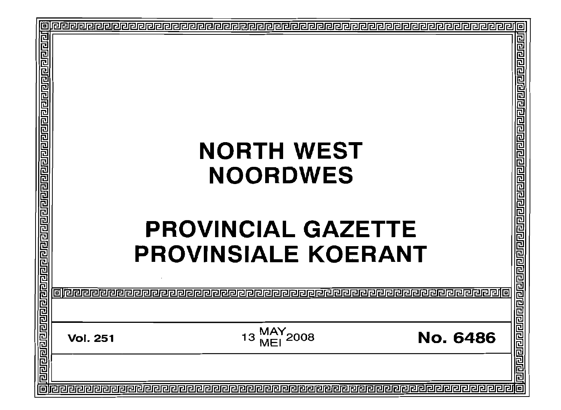|                       |                 | <b>NORTH WEST</b><br><b>NOORDWES</b><br><b>PROVINCIAL GAZETTE</b><br><b>PROVINSIALE KOERANT</b> |                 | 린틴티모리데리티티리티리티리리리리리리리리리리 |
|-----------------------|-----------------|-------------------------------------------------------------------------------------------------|-----------------|-------------------------|
|                       |                 |                                                                                                 |                 | 리리리티티리리리                |
| <u>नगगगगगगगगगगगगग</u> | <b>Vol. 251</b> | MAY <sub>2008</sub><br>13                                                                       | <b>No. 6486</b> | <u>प्रावागवाग</u>       |
|                       |                 |                                                                                                 |                 |                         |
|                       |                 |                                                                                                 |                 | 回                       |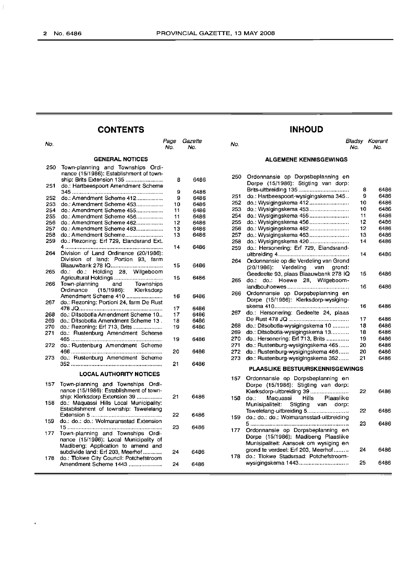$\bar{\mathcal{A}}$ 

### **CONTENTS INHOUD**

|            |                                                                              | IVU.   | rvo.         |
|------------|------------------------------------------------------------------------------|--------|--------------|
|            | <b>GENERAL NOTICES</b>                                                       |        |              |
| 250        | Town-planning and Townships Ordi-<br>nance (15/1986): Establishment of town- |        |              |
| 251        | ship: Brits Extension 135<br>do.: Hartbeespoort Amendment Scheme             | 8      | 6486         |
| 252        | do.: Amendment Scheme 412                                                    | 9<br>9 | 6486<br>6486 |
| 253        | do.: Amendment Scheme 453                                                    | 10     | 6486         |
| 254        | do.: Amendment Scheme 455                                                    | 11     |              |
|            |                                                                              |        | 6486         |
| 255        | do.: Amendment Scheme 456                                                    | 11     | 6486         |
| 256        | do.: Amendment Scheme 462                                                    | 12     | 6486         |
| 257        | do.: Amendment Scheme 463                                                    | 13     | 6486         |
| 258<br>259 | do.: Amendment Scheme<br>do.: Rezoning: Erf 729, Elandsrand Ext.             | 13     | 6486         |
| 264        | Division of Land Ordinance (20/1986):<br>Division of land: Portion 93, farm  | 14     | 6486         |
| 265        | Blaauwbank 278 IQ<br>do.: Holding 28, Wilgeboom<br>do.:⊤                     | 15     | 6486         |
|            |                                                                              | 15     | 6486         |
| 266        | Town-planning and Townships<br>(15/1986): Klerksdorp<br>Ordinance            |        |              |
| 267        | Amendment Scheme 410<br>do.: Rezoning: Portioni 24, farm De Rust             | 16     | 6486         |
|            |                                                                              | 17     | 6486         |
| 268        | do.: Ditsobotla Amendment Scheme 10                                          | 17     | 6486         |
| 269        | do.: Ditsobotla Amendment Scheme 13.                                         | 18     | 6486         |
| 270        | do.: Rezoning: Erf 713, Brits                                                | 19     | 6486         |
| 271        | do.: Rustenburg Amendment Scheme                                             | 19     | 6486         |
| 272        | do.: Rustenburg Amendment Scheme                                             |        |              |
| 273        | do.: Rustenburg Amendment Scheme                                             | 20     | 6486         |
|            |                                                                              | 21     | 6486         |
|            | <b>LOCAL AUTHORITY NOTICES</b>                                               |        |              |
| 157        | Town-planning and Townships Ordi-<br>nance (15/1986): Establishment of town- |        |              |
| 158        | ship: Klerksdorp Extension 39<br>do.: Maquassi Hills Local Municipality:     | 21     | 6486         |
|            | Establishment of township: Tswelelang                                        | 22     |              |
| 159        | do.: do.: do.: Wolmaransstad Extension                                       |        | 6486         |
| 177        | Town-planning and Townships Ordi-                                            | 23     | 6486         |
|            | nance (15/1986): Local Municipality of<br>Madibeng: Application to amend and |        |              |
|            | subdivide land: Erf 203, Meerhof                                             | 24     | 6486         |
| 178        | do.: Tlokwe City Council: Potchefstroom<br>Amendment Scheme 1443             | 24     | 6486         |

|     | ____ |                     |     | .   |                              |
|-----|------|---------------------|-----|-----|------------------------------|
| No. | No.  | Page Gazette<br>No. | No. | No. | <b>Bladsy Koerant</b><br>No. |
|     |      |                     |     |     |                              |

#### **ALGEMENE KENNISGEWINGS**

| 250 | Ordonnansie op Dorpsbeplanning en<br>Dorpe (15/1986): Stigting van dorp: |    |      |
|-----|--------------------------------------------------------------------------|----|------|
|     | Brits-uitbreiding 135                                                    | 8  | 6486 |
| 251 | do.: Hartbeespoort-wysigingskema 345                                     | 9  | 6486 |
| 252 | do.: Wysigingskema 412                                                   | 10 | 6486 |
| 253 | do.: Wysigingskema 453                                                   | 10 | 6486 |
| 254 | do.: Wysigingskema 455                                                   | 11 | 6486 |
| 255 | do.: Wysigingskema 456                                                   | 12 | 6486 |
| 256 | do.: Wysigingskema 462                                                   | 12 | 6486 |
| 257 | do.: Wysigingskema 463                                                   | 13 | 6486 |
| 258 | do.: Wysigingskema 420                                                   | 14 | 6486 |
| 259 | do.: Hersonering: Erf 729, Elandsrand-                                   |    |      |
|     |                                                                          | 14 | 6486 |
| 264 | Ordonnansie op die Verdeling van Grond                                   |    |      |
|     | (20/1986): Verdeling van grond:                                          |    |      |
|     | Geedeelte 93, plaas Blaauwbank 278 IQ                                    | 15 | 6486 |
| 265 | do.: do.: Hoewe 28, Wilgeboom-                                           |    |      |
|     |                                                                          | 16 | 6486 |
| 266 | Ordonnansie op Dorpsbeplanning en                                        |    |      |
|     | Dorpe (15/1986): Klerksdorp-wysiging-                                    |    |      |
|     |                                                                          | 16 | 6486 |
| 267 | do.: Hersonering: Gedeelte 24, plaas                                     |    |      |
|     |                                                                          | 17 | 6486 |
| 268 | do.: Ditsobotla-wysigingskema 10                                         | 18 | 6486 |
| 269 | do.: Ditsobotla-wysigingskema 13                                         | 18 | 6486 |
| 270 | do.: Hersonering: Erf 713, Brits                                         | 19 | 6486 |
| 271 | do.: Rustenburg-wysigingskema 465                                        | 20 | 6486 |
| 272 | do.: Rustenburg-wysigingskema 466                                        | 20 | 6486 |
|     |                                                                          | 21 |      |
| 273 | do.: Rustenburg-wysigingskema 352                                        |    | 6486 |
|     | <b>PLAASLIKE BESTUURSKENNISGEWINGS</b>                                   |    |      |
| 157 | Ordonnansie op Dorpsbeplanning en                                        |    |      |
|     | Dorpe (15/1986): Stigting van dorp:                                      |    |      |
|     | Klerksdorp-uitbreiding 39                                                | 22 | 6486 |
| 158 | Maguassi Hills Plaaslike<br>do.:                                         |    |      |
|     | Munisipaliteit: Stigting van dorp:                                       |    |      |
|     | Tswelelang-uitbreiding 5                                                 | 22 | 6486 |
| 159 | do.: do.: do.: Wolmaransstad-uitbreiding                                 |    |      |
|     |                                                                          | 23 | 6486 |
| 177 | Ordonnansie op Dorpsbeplanning en                                        |    |      |
|     | Dorpe (15/1986): Madibeng Plaaslike                                      |    |      |
|     | Munisipaliteit: Aansoek om wysiging en                                   |    |      |
|     | grond te verdeel: Erf 203, Meerhof                                       | 24 | 6486 |
| 178 | do.: Tiokwe Stadsraad: Potchefstroom-                                    |    |      |
|     | wysigingskema 1443                                                       | 25 | 6486 |
|     |                                                                          |    |      |
|     |                                                                          |    |      |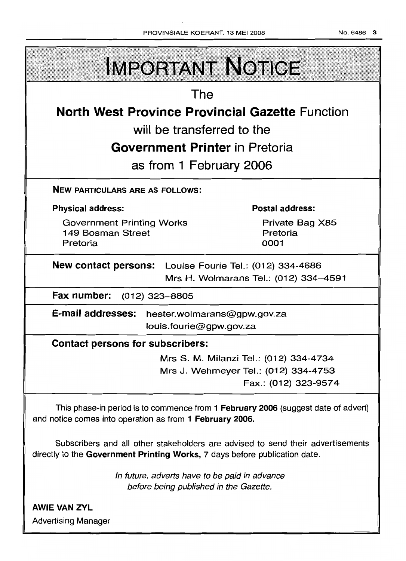| PROVINSIALE KOERANT, 13 MEI 2008                                                                        | No. 6486<br>$\mathbf{3}$                                                                               |  |  |  |
|---------------------------------------------------------------------------------------------------------|--------------------------------------------------------------------------------------------------------|--|--|--|
| <b>IMPORTANT NOTICE</b>                                                                                 |                                                                                                        |  |  |  |
| The                                                                                                     |                                                                                                        |  |  |  |
| <b>North West Province Provincial Gazette Function</b>                                                  |                                                                                                        |  |  |  |
| will be transferred to the                                                                              |                                                                                                        |  |  |  |
| <b>Government Printer in Pretoria</b>                                                                   |                                                                                                        |  |  |  |
| as from 1 February 2006                                                                                 |                                                                                                        |  |  |  |
| <b>NEW PARTICULARS ARE AS FOLLOWS:</b>                                                                  |                                                                                                        |  |  |  |
| <b>Physical address:</b>                                                                                | <b>Postal address:</b>                                                                                 |  |  |  |
| <b>Government Printing Works</b><br>149 Bosman Street<br>Pretoria                                       | Private Bag X85<br>Pretoria<br>0001                                                                    |  |  |  |
| <b>New contact persons:</b> Louise Fourie Tel.: (012) 334-4686<br>Mrs H. Wolmarans Tel.: (012) 334-4591 |                                                                                                        |  |  |  |
| Fax number:<br>(012) 323–8805                                                                           |                                                                                                        |  |  |  |
| E-mail addresses:<br>louis.fourie@gpw.gov.za                                                            | hester.wolmarans@gpw.gov.za                                                                            |  |  |  |
| <b>Contact persons for subscribers:</b>                                                                 |                                                                                                        |  |  |  |
|                                                                                                         | Mrs S. M. Milanzi Tel.: (012) 334-4734<br>Mrs J. Wehmeyer Tel.: (012) 334-4753<br>Fax.: (012) 323-9574 |  |  |  |

This phase-in period is to commence from 1 February 2006 (suggest date of advert) and notice comes into operation as from 1 February 2006.

Subscribers and all other stakeholders are advised to send their advertisements directly to the Government Printing Works, 7 days before publication date.

> In future, adverts have to be paid in advance before being published in the Gazette.

**AWIE VAN ZYL** Advertising Manager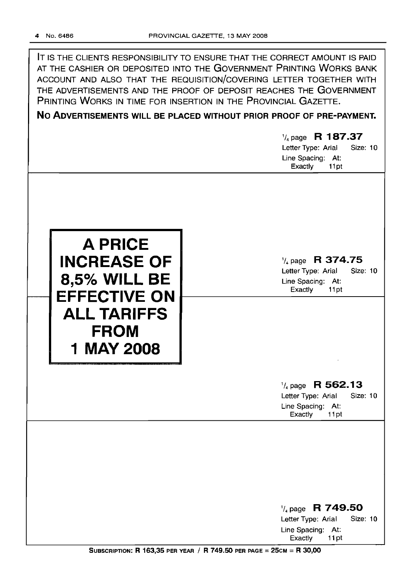IT IS THE CLIENTS RESPONSIBILITY TO ENSURE THAT THE CORRECT AMOUNT IS PAID AT THE CASHIER OR DEPOSITED INTO THE GOVERNMENT PRINTING WORKS BANK ACCOUNT AND ALSO THAT THE REQUISITION/COVERING LETTER TOGETHER WITH THE ADVERTISEMENTS AND THE PROOF OF DEPOSIT REACHES THE GOVERNMENT PRINTING WORKS IN TIME FOR INSERTION IN THE PROVINCIAL GAZETTE.

**No ADVERTISEMENTS WILL BE PLACED WITHOUT PRIOR PROOF OF PRE-PAYMENT.**

1/4 page R **187.37** Letter Type: Arial Size: 10 Line Spacing: At: Exactly 11 pt



1/4page **R 374.75** Letter Type: Arial Size: 10 Line Spacing: At: Exactly 11pt

1/4 page **R 562.13**

Letter Type: Arial Size: 10 Line Spacing: At: Exactly 11pt

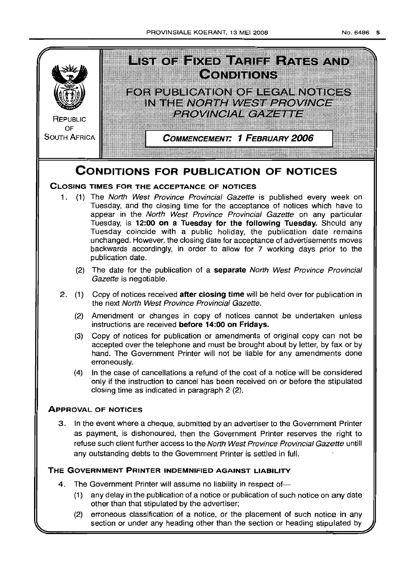

3 In the event where a cheque, submitted by an advertiser to the Government Printer as payment, is dishonoured, then the Government Printer reserves the right to refuse such client further access to the North West Province Provincial Gazette untill any outstanding debts to the Government Printer is settled in full

### **THE GOVERNMENT PRINTER INDEMNIFIED AGAINST LIABILITY**

- 4. The Government Printer will assume no liability in respect of-
	- (1) any delay in the publication of a notice or publication of such notice on any date other than that stipulated by the advertiser;
	- (2) erroneous classification of a notice, or the placement of such notice in any section or under any heading other than the section or heading stipulated by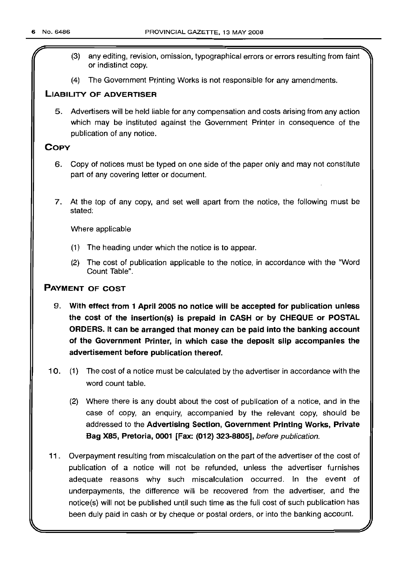- (3) any editing, revision, omission, typographical errors or errors resulting from faint or indistinct copy.
- (4) The Government Prjnting Works is not responsible for any amendments.

### LIABILITY OF ADVERTISER

5. Advertisers will be held liable for any compensation and costs arising from any action which may be instituted against the Government Printer in consequence of the publication of any notice.

### **COPY**

- 6. Copy of notices must be typed on one side of the paper only and may not constitute part of any covering letter or document.
- 7. At the top of any copy, and set well apart from the notice, the following must be stated:

Where applicable

- (1) The heading under which the notice is to appear.
- (2) The cost of publication applicable to the notice, in accordance with the "Word Count Table".

### PAYMENT OF COST

- 9. With effect from 1 April 2005 no notice will be accepted for publication unless the cost of the insertion(s) is prepaid in CASH or by CHEQUE or POSTAL ORDERS. It can be arranged that money can be paid into the banking account of the Government Printer, in which case the deposit slip accompanies the advertisement before publication thereof.
- 10. (1) The cost of a notice must be calculated by the advertiser in accordance with the word count table.
	- (2) Where there is any doubt about the cost of publication of a notice, and in the case of copy, an enquiry, accompanied by the relevant copy, should be addressed to the Advertising Section, Government Printing Works, Private Bag X85, Pretoria, 0001 [Fax: (012) 323-8805], before publication.
- 11. Overpayment resulting from miscalculation on the part of the advertiser of the cost of publication of a notice will not be refunded, unless the advertiser furnishes adequate reasons why such miscalculation occurred. In the event of underpayments, the difference will be recovered from the advertiser, and the notice(s) will not be published until such time as the full cost of such publication has been duly paid in cash or by cheque or postal orders, or into the banking account.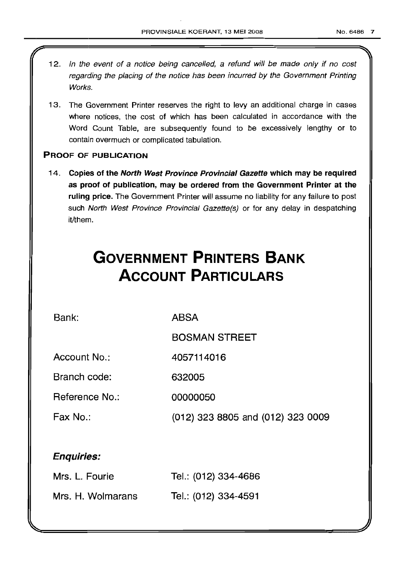- 12. In the event of a notice being cancelled, a refund will be made only if no cost regarding the placing of the notice has been incurred by the Government Printing Works.
- 13. The Government Printer reserves the right to levy an additional charge in cases where notices, the cost of which has been calculated in accordance with the Word Count Table, are subsequently found to be excessively lengthy or to contain overmuch or complicated tabulation.

### PROOF OF PUBLICATION

14. Copies of the North West Province Provincial Gazette which may be required as proof of publication, may be ordered from the Government Printer at the ruling price. The Government Printer will assume no liability for any failure to post such North West Province Provincial Gazette(s) or for any delay in despatching it/them.

# **GOVERNMENT PRINTERS BANK ACCOUNT PARTICULARS**

Bank:

ABSA

BOSMAN STREET

Account No.: 4057114016

Branch code: 632005

Reference No.: 00000050

Fax No.: (012) 323 8805 and (012) 323 0009

### Enquiries:

| Mrs. L. Fourie    | Tel.: (012) 334-4686 |
|-------------------|----------------------|
| Mrs. H. Wolmarans | Tel.: (012) 334-4591 |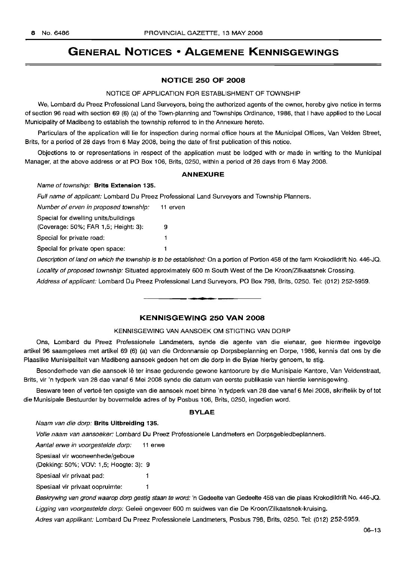### **GENERAL NOTICES • ALGEMENE KENNISGEWINGS**

#### **NOTICE 250 OF 2008**

#### NOTICE OF APPLICATION FOR ESTABLISHMENT OF TOWNSHIP

We, Lombard du Preez Professional Land Surveyors, being the authorized agents of the owner, hereby give notice in terms of section 96 read with section 69 (6) (a) of the Town-planning and Townships Ordinance, 1986, that I have applied to the Local Municipality of Madibeng to establish the township referred to in the Annexure hereto.

Particulars of the application will lie for inspection during normal office hours at the Municipal Offices, Van Velden Street, Brits, for a period of 28 days from 6 May 2008, being the date of first publication of this notice.

Objections to or representations in respect of the application must be lodged with or made in writing to the Municipal Manager, at the above address or at PO Box 106, Brits, 0250, within a period of 28 days from 6 May 2008.

#### **ANNEXURE**

#### Name of township: **Brits Extension** 135.

Full name of applicant: Lombard Du Preez Professional Land Surveyors and Township Planners.

1  $\mathbf{1}$ 

Number of erven in proposed township: 11 erven

Special for dwelling units/buildings

(Coverage: 50%; FAR 1,5; Height: 3): 9

Special for private road:

Special for private open space:

Description of land on which the township is to be established: On a portion of Portion 458 of the farm Krokodildrift No. 446-JQ.

Locality of proposed township: Situated approximately 600 m South West of the De Kroon/Zilkaatsnek Crossing.

Address of applicant: Lombard Du Preez Professional Land Surveyors, PO Box 798, Brits, 0250. Tel: (012) 252-5959.

.**-.**

#### **KENNISGEWING 250 VAN 2008**

#### KENNISGEWING VAN AANSOEK OM STIGTING VAN DORP

Ons, Lombard du Preez Professionele Landmeters, synde die agente van die eienaar, gee hiermee ingevolge artikel 96 saamgelees met artikel 69 (6) (a) van die Ordonnansie op Dorpsbeplanning en Dorpe, 1986, kennis dat ons by die Plaaslike Munisipaliteit van Madibeng aansoek gedoen het om die dorp in die Bylae hierby genoem, te stlq,

Besonderhede van die aansoek Ie ter insae gedurende gewone kantoorure by die Munisipale Kantore, Van Veldenstraat, Brits, vir 'n tydperk van 28 dae vanaf 6 Mei 2008 synde die datum van eerste publikasie van hierdie kennisgewing.

Besware teen of vertoë ten opsigte van die aansoek moet binne 'n tydperk van 28 dae vanaf 6 Mei 2008, skriftelik by of tot die Munisipale Bestuurder by bovermelde adres of by Posbus 106, Brits, 0250, ingedien word.

#### **BYLAE**

#### Naam van die dorp: **Brits Uitbreiding** 135.

Vofle naam van aansoeker: Lombard Du Preez Professionele Landmeters en Dorpsgebiedbeplanners.

Aantal erwe in voorgestelde dorp: 11 erwe

Spesiaal vir wooneenhede/geboue

(Dekking: 50%; VOV: 1,5; Hoogte: 3): 9

Spesiaal vir privaat pad:

Spesiaal vir privaat oopruimte:  $\mathbf{1}$ 

Beskrywing van grond waarop dorp gestig staan te word: 'n Gedeelte van Gedeelte 458 van die plaas Krokodildrift No. 446-JQ.

Ligging van voorgestelde dorp: Geleë ongeveer 600 m suidwes van die De Kroon/Zilkaatsnek-kruising.

 $\mathbf{I}$ 

Adres van applikant: Lombard Du Preez Professionele Landmeters, Posbus 798, Brits, 0250. Tel: (012) 252-5959.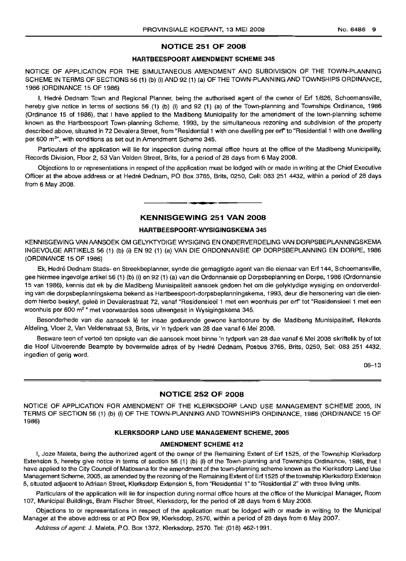#### **NOTICE 251 OF 2008**

#### **HARTBEESPOORT AMENDMENT SCHEME 345**

NOTICE OF APPLICATION FOR THE SIMULTANEOUS AMENDMENT AND SUBDIVISION OF THE TOWN-PLANNING SCHEME IN TERMS OF SECTIONS 56 (1) (b) (i) AND 92 (1) (a) OF THE TOWN-PLANNING AND TOWNSHIPS ORDINANCE, 1986 (ORDINANCE 15 OF 1986)

I, Hedré Dednam Town and Regional Planner, being the authorised agent of the owner of Erf 1/826, Schoemansville, hereby give notice in terms of sections 56 (1) (b) (i) and 92 (1) (a) of the Town-planning and Townships Ordinance, 1986 (Ordinance 15 of 1986), that I have applied to the Madibeng Municipality for the amendment of the town-planning scheme known as the Hartbeespoort Town-planning Scheme, 1993, by the simultaneous rezoning and subdivision of the property described above, situated in 72 Devalera Street, from "Residential 1 with one dwelling per erf' to "Residential 1 with one dwelling per 600 m<sup>2</sup>", with conditions as set out in Amendment Scheme 345.

Particulars of the application will lie for inspection during normal office hours at the office of the Madibeng Municipality, Records Division, Floor 2, 53 Van Velden Street, Brits, for a period of 28 days from 6 May 2008.

Objections to or representations in respect of the application must be lodged with or made in writing at the Chief Executive Officer at the above address or at Hedre Dednam, PO Box 3765, Brits, 0250, Cell: 083 251 4432, within a period of 28 days from 6 May 2008.

#### **KENNISGEWING 251 VAN 2008**

**• •**

#### **HARTBEESPOORT-WYSIGINGSKEMA 345**

KENNISGEWING VANAANSOEK OM GELYKTYDIGE WYSIGING EN ONDERVERDELING VAN DORPSBEPLANNINGSKEMA INGEVOLGE ARTIKELS 56 (1) (b) (i) EN 92 (1) (a) VAN DIE ORDONNANSIE OP DORPSBEPLANNING EN DORPE, 1986 (ORDINANCE 15 OF 1986)

Ek, Hedré Dednam Stads- en Streekbeplanner, synde die gemagtigde agent van die eienaar van Erf 144, Schoemansville, gee hiermee ingevolge artikel 56 (1) (b) (i) en 92 (1) (a) van die Ordonnansie op Dorpsbeplanning en Dorpe, 1986 (Ordonnansie 15 van 1986), kennis dat ek by die Madibeng Munisipaliteit aansoek gedoen het om die gelyktydige wysiging en onderverdeling van die dorpsbeplanningskema bekend as Hartbeespoort-dorpsbeplanningskema, 1993, deur die hersonering van die eiendom hierbo beskryf, gelee in Devalerastraat 72, vanaf "Residensieel 1 met een woonhuis per erf' tot "Residensieel 1 met een woonhuis per 600 m2 " met voorwaardes soos uiteengesit in Wysigingskema 345.

Besonderhede van die aansoek lê ter insae gedurende gewone kantoorure by die Madibeng Munisipaliteit, Rekords Afdeling, Vloer 2, Van Veldenstraat 53, Brits, vir 'n tydperk van 28 dae vanaf 6 Mei 2008.

Besware teen of vertoë ten opsigte van die aansoek moet binne 'n tydperk van 28 dae vanaf 6 Mei 2008 skriftelik by of tot die Hoof Uitvoerende Beampte by bovermelde adres of by Hedre Dednam, Posbus 3765, Brits, 0250, Sel: 083 251 4432, ingedien of gerig word.

06-13

#### **NOTICE 252 OF 2008**

NOTICE OF APPLICATION FOR AMENDMENT OF THE KLERKSDORP LAND USE MANAGEMENT SCHEME 2005, IN TERMS OF SECTION 56 (1) (b) (i) OF THE TOWN-PLANNING AND TOWNSHIPS ORDINANCE, 1986 (ORDINANCE 15 OF 1986)

#### **KLERKSDORP LAND USE MANAGEMENT SCHEME, 2005**

#### **AMENDMENT SCHEME 412**

I, Joze Maleta, being the authorized agent of the owner of the Remaining Extent of Erf 1525, of the Township Klerksdorp Extension 5, hereby give notice in terms of section 56 (1) (b) (i) of the Town-planning and Townships Ordinance, 1986, that I have applied to the City Council of Matlosana for the amendment of the town-planning scheme known as the Klerksdorp Land Use Management Scheme, 2005, as amended by the rezoning of the Remaining Extent of Erf 1525 of the township Klerksdorp Extension 5, situated adjacent to Adriaan Street, Klerksdorp Extension 5, from "Residential 1" to "Residential 2" with three living units.

Particulars of the application will lie for inspection during normal office hours at the office of the Municipal Manager, Room 107, Municipal Buildings, Bram Fischer Street, Klerksdorp, for the period of 28 days from 6 May 2008.

Objections to or representations in respect of the application must be lodged with or made in writing to the Municipal Manager at the above address or at PO Box 99, Klerksdorp, 2570, within a period of 28 days from 6 May 2007.

Address of agent: J. Maleta, P.O. Box 1372, Klerksdorp, 2570. Tel: (018) 462-1991.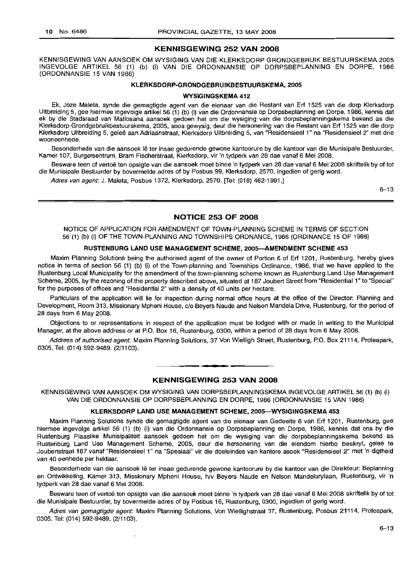#### **KENNISGEWING 252 VAN 2008**

KENNISGEWING VAN AANSOEK OM WYSIGING VAN DIE KLERKSDORP GRONDGEBRUIK BESTUURSKEMA 2005 INGEVOLGE ARTIKEL 56 (1) (b) (i) VAN DIE ORDONNANSIE OP DORPSBEPLANNING EN DORPE, 1986 (ORDONNANSIE 15 VAN 1986)

#### **KLERKSDORP-GRONDGEBRLlIKBESTUURSKEMA, 2005**

#### **WYSIGINGSKEMA 412**

Ek, Joze Maleta, synde die gemagtigde agent van die eienaar van die Restant van Erf 1525 van die dorp Klerksdorp Uitbreiding 5, gee hiermee ingevolge artikel 56 (1) (b) (i) van die Ordonnansie op Dorpsbeplanning en Dorpe, 1986, kennis dat ek by die Stadsraad van Matlosana aansoek gedoen het om die wysiging van die dorpsbeplanningskema bekend as die Klerksdorp-Grondgebruikbestuurskema, 2005, soos gewysig, deur die hersonering van die Restant van Erf 1525 van die dorp Klerksdorp Uitbreiding 5, gelee aan Adriaanstraat, Klerksdorp Uitbreiding 5, van "Residensieel 1" na "Residensieel 2" met drie wooneenhede.

Besonderhede van die aansoek lê ter insae gedurende gewone kantoorure by die kantoor van die Munisipale Bestuurder, Kamer 107, Burgersentrum, Bram Fischerstraat, Klerksdorp, vir 'n tydperk van 28 dae vanaf 6 Mei 2008.

Besware teen of vertoe ten opsigte van die aansoek moet binne 'n tydperk van 28 dae vanaf 6 Mei 2008 skriftelik by of tot die Munisipale Bestuurder by bovermelde adres of by Posbus 99, Klerksdorp, 2570, ingedien of gerig word.

Adres van agent: J. Maleta, Posbus 1372, Klerksdorp, 2570. [Tel: (018) 462-1991.]

 $6 - 13$ 

#### **NOTICE 253 OF 2008**

NOTICE OF APPLICATION FOR AMENDMENT OF TOWN-PLANNING SCHEME IN TERMS OF SECTION 56 (1) (b) (i) OF THE TOWN-PLANNING AND TOWNSHIPS ORDNANCE, 1986 (ORDINANCE 15 OF 1986)

#### **RUSTENBURG LAND USE MANAGEMENT SCHEME, 2005-AMENDMENT SCHEME 453**

Maxim Planning Solutions being the authorised agent of the owner of Portion 6 of Erf 1201, Rustenburg, hereby gives notice in terms of section 56 (1) (b) (i) of the Town-planning and Townships Ordinance, 1986, that we have applied to the Rustenburg Local Municipality for the amendment of the town-planning scheme known as Rustenburg Land Use Management Scheme, 2005, by the rezoning of the property described above, situated at 187 Joubert Street from "Residential 1" to "Special" for the purposes of offices and "Residential 2" with a density of 40 units per hectare.

Particulars of the application will lie for inspection during normal office hours at the office of the Director: Planning and Development, Room 313, Missionary Mpheni House, c/o Beyers Naude and Nelson Mandela Drive, Rustenburg, for the period of 28 days from 6 May 2008.

Objections to or representations in respect of the application must be lodged with or made in writing to the Municipal Manager, at the above address or at P.O. Box 16, Rustenburg, 0300, within a period of 28 days from 6 May 2008.

Address of authorised agent: Maxim Planning Solutions, 37 Von Wielligh Street, Rustenburg, P.O. Box 21114, Proteapark, 0305. Tel: (014) 592-9489. (2/1103).

**• •**

#### **KENNISGEWING 253 VAN 2008**

KENNISGEWING VAN AANSOEK OM WYSIGING VAN DORPSBEPLANNINGSKEMA INGEVOLGE ARTIKEL 56 (1) (b) (i) VAN DIE ORDONNANSIE OP DORPSBEPLANNING EN DORPE, 1986 (ORDONNANSIE 15 VAN 1986)

#### **KLERKSDORP LAND USE MANAGEMENT SCHEME, 2005-WYSIGINGSKEMA 453**

Maxim Planning Solutions synde die gemagtigde agent van die eienaar van Gedeelte 6 van Erf 1201, Rustenburg, gee hiermee ingevolge artikel 56 (1) (b) (i) van die Ordonnansie op Dorpsbeplanning en Dorpe, 1986, kennis dat ons by die Rustenburg Plaaslike Munisipaliteit aansoek gedoen het om die wysiging van die dorpsbeplanningskema bekend as Rustenburg Land Use Management Scheme, 2005, deur die hersonering van die eiendom hierbo beskryf, geleë te Joubertstraat 187 vanaf "Residensieel 1" na "Spesiaal" vir die doeleindes van kantore asook "Residensieel 2" met 'n digtheid van 40 eenhede per hektaar.

Besonderhede van die aansoek lê ter insae gedurende gewone kantoorure by die kantoor van die Direkteur: Beplanning en Ontwikkeling, Kamer 313, Missionary Mpheni House, h/v Beyers Naude en Nelson Mandelarylaan, Rustenburg, vir 'n tydperk van 28 dae vanaf 6 Mei 2008.

Besware teen of vertoë ten opsigte van die aansoek moet binne 'n tydperk van 28 dae vanaf 6 Mei 2008 skriftelik by of tot die Munisipale Bestuurder, by bovermelde adres of by Posbus 16, Rustenburg, 0300, ingedien of gerig word.

Adres van gemagtigde agent: Maxim Planning Solutions, Von Wiellighstraat 37, Rustenburg, Posbus 21114, Proteapark, 0305. Tel: (014) 592-9489. (2/1103).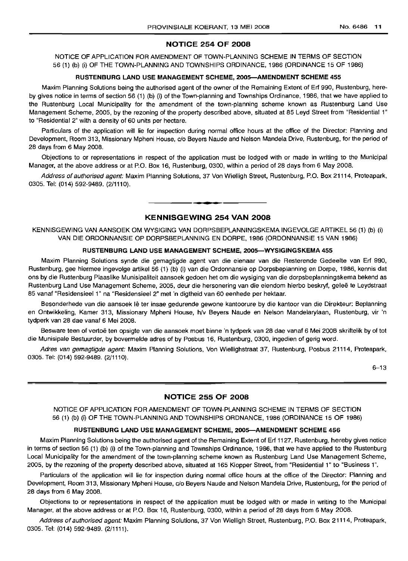#### **NOTICE 254 OF 2008**

NOTICE OF APPLICATION FOR AMENDMENT OF TOWN-PLANNING SCHEME IN TERMS OF SECTION 56 (1) (b) (i) OF THE TOWN-PLANNING AND TOWNSHIPS ORDINANCE, 1986 (ORDINANCE 15 OF 1986)

#### **RUSTENBURG LAND USE MANAGEMENT SCHEME, 2005-AMENDMENT SCHEME 455**

Maxim Planning Solutions being the authorised agent of the owner of the Remaining Extent of Erf 990, Rustenburg, hereby gives notice in terms of section 56 (1) (b) (i) of the Town-planning and Townships Ordinance, 1986, that we have applied to the Rustenburg Local Municipality for the amendment of the town-planning scheme known as Rustenburg Land Use Management Scheme, 2005, by the rezoning of the property described above, situated at 85 Leyd Street from "Residential 1" to "Residential 2" with a density of 60 units per hectare.

Particulars of the application will lie for inspection during normal office hours at the office of the Director: Planning and Development, Room 313, Missionary Mpheni House, c/o Beyers Naude and Nelson Mandela Drive, Rustenburg, for the period of 28 days from 6 May 2008.

Objections to or representations in respect of the application must be lodged with or made in writing to the Municipal Manager, at the above address or at P.O. Box 16, Rustenburg, 0300, within a period of 28 days from 6 May 2008.

Address of authorised agent: Maxim Planning Solutions, 37 Von Wielligh Street, Rustenburg, P.O. Box 21114, Proteapark, 0305. Tel: (014) 592-9489. (2/1110).

#### **KENNISGEWING 254 VAN 2008**

.**- .**

KENNISGEWING VAN AANSOEK OM WYSIGING VAN DORPSBEPLANNINGSKEMA INGEVOLGE ARTIKEL 56 (1) (b) (i) VAN DIE ORDONNANSIE OP DORPSBEPLANNING EN DORPE, 1986 (ORDONNANSIE 15 VAN 1986)

#### **RUSTENBURG LAND USE MANAGEMENT SCHEME, 2005-WYSIGINGSKEMA 455**

Maxim Planning Solutions synde die gemagtigde agent van die eienaar van die Resterende Gedeelte van Erf 990, Rustenburg, gee hiermee ingevolge artikel 56 (1) (b) (i) van die Ordonnansie op Dorpsbeplanning en Dorpe, 1986, kennis dat ons by die Rustenburg Plaaslike Munisipaliteit aansoek gedoen het om die wysiging van die dorpsbeplanningskema bekend as Rustenburg Land Use Management Scheme, 2005, deur die hersonering van die eiendom hierbo beskryf, geleë te Leydstraat 85 vanaf "Residensieel 1" na "Residensieel 2" met 'n digtheid van 60 eenhede per hektaar.

Besonderhede van die aansoek Ie ter insae gedurende gewone kantoorure by die kantoor van die Direkteur: Beplanning en Ontwikkeling, Kamer 313, Missionary Mpheni House, h/v Beyers Naude en Nelson Mandelarylaan, Rustenburg, vir 'n tydperk van 28 dae vanaf 6 Mei 2008.

Besware teen of vertoë ten opsigte van die aansoek moet binne 'n tydperk van 28 dae vanaf 6 Mei 2008 skriftelik by of tot die Munisipale Bestuurder, by bovermelde adres of by Posbus 16, Rustenburg, 0300, ingedien of gerig word.

Adres van gemagtigde agent: Maxim Planning Solutions, Von Wiellighstraat 37, Rustenburg, Posbus 21114, Proteapark, 0305. Tel: (014) 592-9489. (2/1110).

6-13

#### **NOTICE 255 OF 2008**

NOTICE OF APPLICATION FOR AMENDMENT OF TOWN-PLANNING SCHEME IN TERMS OF SECTION 56 (1) (b) (i) OF THE TOWN-PLANNING AND TOWNSHIPS ORDNANCE, 1986 (ORDINANCE 15 OF 1986)

#### **RUSTENBURG LAND USE MANAGEMENT SCHEME, 2005-AMENDMENT SCHEME 456**

Maxim Planning Solutions being the authorised agent of the Remaining Extent of Erf 1127, Rustenburg, hereby gives notice in terms of section 56 (1) (b) (i) of the Town-planning and Townships Ordinance, 1986, that we have applied to the Rustenburg Local Municipality for the amendment of the town-planning scheme known as Rustenburg Land Use Management Scheme, 2005, by the rezoning of the property described above, situated at 165 Klopper Street, from "Residential 1" to "Business 1".

Particulars of the application will lie for inspection during normal office hours at the office of the Director: Planning and Development, Room 313, Missionary Mpheni House, c/o Beyers Naude and Nelson Mandela Drive, Rustenburg, for the period of 28 days from 6 May 2008.

Objections to or representations in respect of the application must be lodged with or made in writing to the Municipal Manager, at the above address or at P.O. Box 16, Rustenburg, 0300, within a period of 28 days from 6 May 2008.

Address of authorised agent: Maxim Planning Solutions, 37 Von Wielligh Street, Rustenburg, P.O. Box 21114, Proteapark, 0305. Tel: (014) 592-9489. (2/1111).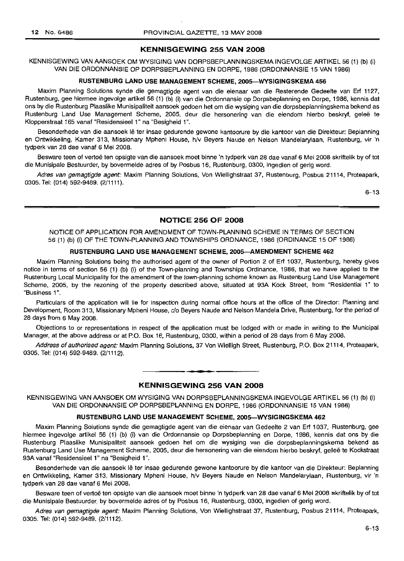#### **KENNISGEWING 255 VAN 2008**

KENNISGEWING VAN AANSOEK OM WYSIGING VAN DORPSBEPLANNINGSKEMA INGEVOLGE ARTIKEL 56 (1) (b) (i) VAN DIE ORDONNANSIE OP DORPSBEPLANNING EN DORPE, 1986 (ORDONNANSIE 15 VAN 1986)

#### **RUSTENBURG LAND USE MANAGEMENT SCHEME, 2005-WYSIGINGSKEMA 456**

Maxim Planning Solutions synde die gemagtigde agent van die eienaar van die Resterende Gedeelte van Erf 1127, Rustenburg, gee hiermee ingevolge artikel 56 (1) (b) (i) van die Ordonnansie op Dorpsbeplanning en Dorpe, 1986, kennis dat ons by die Rustenburg Plaaslike Munisipaliteit aansoek gedoen het om die wysiging van die dorpsbeplanningskema bekend as Rustenburg Land Use Management Scheme, 2005, deur die hersonering van die eiendom hierbo beskryf, geleë te Klopperstraat 165 vanaf "Residensieel 1" na "Besigheid 1",

Besonderhede van die aansoek Ie ter insae gedurende gewone kantoorure by die kantoor van die Direkteur: Beplanning en Ontwikkeling, Kamer 313, Missionary Mpheni House, h/v Beyers Naude en Nelson Mandelarylaan, Rustenburg, vir 'n tydperk van 28 dae vanaf 6 Mei 2008.

Besware teen of vertoë ten opsigte van die aansoek moet binne 'n tydperk van 28 dae vanaf 6 Mei 2008 skriftelik by of tot die Munisipale Bestuurder, by bovermelde adres of by Posbus 16, Rustenburg, 0300, ingedien of gerig word.

Adres van gemagtigde agent: Maxim Planning Solutions, Von Wiellighstraat 37, Rustenburg, Posbus 21114, Proteapark, 0305. Tel: (014) 592-9489. (2/1111).

6-13

#### **NOTICE 256 OF 2008**

NOTICE OF APPLICATION FOR AMENDMENT OF TOWN-PLANNING SCHEME IN TERMS OF SECTION 56 (1) (b) (i) OF THE TOWN-PLANNING AND TOWNSHIPS ORDNANCE, 1986 (ORDINANCE 15 OF 1986)

#### **RUSTENBURG LAND USE MANAGEMENT SCHEME, 2005-AMENDMENT SCHEME 462**

Maxim Planning Solutions being the authorised agent of the owner of Portion 2 of Erf 1037, Rustenburg, hereby gives notice in terms of section 56 (1) (b) (i) of the Town-planning and Townships Ordinance, 1986, that we have applied to the Rustenburg Local Municipality for the amendment of the town-planning scheme known as Rustenburg Land Use Management Scheme, 2005, by the rezoning of the property described above, situated at 93A Kock Street, from "Residential 1" to "Business 1".

Particulars of the application will lie for inspection during normal office hours at the office of the Director: Planning and Development, Room 313, Missionary Mpheni House, c/o Beyers Naude and Nelson Mandela Drive, Rustenburg, for the period of 28 days from 6 May 2008.

Objections to or representations in respect of the application must be lodged with or made in writing to the Municipal Manager, at the above address or at P.O. Box 16, Rustenburg, 0300, within a period of 28 days from 6 May 2008.

Address of authorised agent: Maxim Planning Solutions, 37 Von Wielligh Street, Rustenburg, P.O. Box 21114, Proteapark, 0305. Tel: (014) 592-9489. (2/1112).

#### **KENNISGEWING 256 VAN 2008**

.**- .**

KENNISGEWING VAN AANSOEK OM WYSIGING VAN DORPSBEPLANNINGSKEMA INGEVOLGE ARTIKEL 56 (1) (b) (i) VAN DIE ORDONNANSIE OP DORPSBEPLANNING EN DORPE, 1986 (ORDONNANSIE 15 VAN 1986)

#### **RUSTENBURG LAND USE MANAGEMENT SCHEME, 2005-WYSIGINGSKEMA 462**

Maxim Planning Solutions synde die gemagtigde agent van die eienaar van Gedeelte 2 van Erf 1037, Rustenburg, gee hiermee ingevolge artikel 56 (1) (b) (i) van die Ordonnansie op Dorpsbeplanning en Dorpe, 1986, kennis dat ons by die Rustenburg Plaaslike Munisipaliteit aansoek gedoen het om die wysiging van die dorpsbeplanningskema bekend as Rustenburg Land Use Management Scheme, 2005, deur die hersonering van die eiendom hierbo beskryf, geleë te Kockstraat 93A vanaf "Residensieel 1" na "Besigheid 1",

Besonderhede van die aansoek lê ter insae gedurende gewone kantoorure by die kantoor van die Direkteur: Beplanning en Ontwikkeling, Kamer 313, Missionary Mpheni House, h/v Beyers Naude en Nelson Mandelarylaan, Rustenburg, vir 'n tydperk van 28 dae vanaf 6 Mei 2008.

Besware teen of vertoë ten opsigte van die aansoek moet binne 'n tydperk van 28 dae vanaf 6 Mei 2008 skriftelik by of tot die Munisipale Bestuurder, by bovermelde adres of by Posbus 16, Rustenburg, 0300, ingedien of gerig word.

Adres van gemagtigde agent: Maxim Planning Solutions, Von Wiellighstraat 37, Rustenburg, Posbus 21114, Proteapark, 0305. Tel: (014) 592-9489. (2/1112).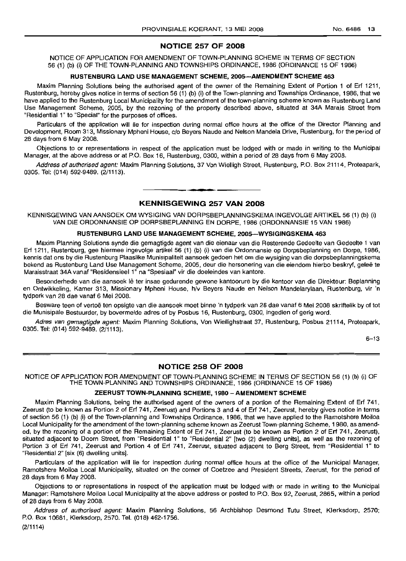#### **NOTICE 257 OF 2008**

NOTICE OF APPLICATION FOR AMENDMENT OF TOWN-PLANNING SCHEME IN TERMS OF SECTION 56 (1) (b) (i) OF THE TOWN-PLANNING AND TOWNSHIPS ORDINANCE, 1986 (ORDINANCE 15 OF 1986)

#### **RUSTENBURG LAND USE MANAGEMENT SCHEME, 200S-AMENDMENT SCHEME 463**

Maxim Planning Solutions being the authorised agent of the owner of the Remaining Extent of Portion 1 of Erf 1211, Rustenburg, hereby gives notice in terms of section 56 (1) (b) (i) of the Town-planning and Townships Ordinance, 1986, that we have applied to the Rustenburg Local Municipality for the amendment of the town-planning scheme known as Rustenburg Land Use Management Scheme, 2005, by the rezoning of the property described above, situated at 34A Marais Street from "Residential 1" to "Special" for the purposes of offices.

Particulars of the application will lie for inspection during normal office hours at the office of the Director Planning and Development, Room 313, Missionary Mpheni House, c/o Beyers Naude and Nelson Mandela Drive, Rustenburg, for the period of 28 days from 6 May 2008.

Objections to or representations in respect of the application must be lodged with or made in writing to the Municipal Manager, at the above address or at P.O. Box 16, Rustenburg, 0300, within a period of 28 days from 6 May 2008.

Address of authorised agent: Maxim Planning Solutions, 37 Von Wielligh Street, Rustenburg, P.O. Box 21114, Proteapark, 0305. Tel: (014) 592-9489. (2/1113).

### **• KENNISGEWING 257 VAN 2008**

KENNISGEWING VAN AANSOEK OM WYSIGING VAN DORPSBEPLANNINGSKEMA INGEVOLGE ARTIKEL 56 (1) (b) (i) VAN DIE ORDONNANSIE OP DORPSBEPLANNING EN DORPE, 1986 (ORDONNANSIE 15 VAN 1986)

#### **RUSTENBURG LAND USE MANAGEMENT SCHEME, 200S-WYSIGINGSKEMA 463**

Maxim Planning Solutions synde die gemagtigde agent van die eienaar van die Resterende Gedeelte van Gedeelte 1 van Erf 1211, Rustenburg, gee hiermee ingevolge artikel 56 (1) (b) (i) van die Ordonnansie op Dorpsbeplanning en Dorpe, 1986, kennis dat ons by die Rustenburg Plaaslike Munisipaliteit aansoek gedoen het om die wysiging van die dorpsbeplanningskema bekend as Rustenburg Land Use Management Scheme, 2005, deur die hersonering van die eiendom hierbo beskryf, geleë te Maraisstraat 34A vanaf "Residensieel 1" na "Spesiaal" vir die doeleindes van kantore.

Besonderhede van die aansoek Ie ter insae gedurende gewone kantoorure by die kantoor van die Direkteur: Beplanning en Ontwikkeling, Kamer 313, Missionary Mpheni House, h/v Beyers Naude en Nelson Mandelarylaan, Rustenburg, vir 'n tydperk van 28 dae vanaf 6 Mei 2008.

Besware teen of vertoë ten opsigte van die aansoek moet binne 'n tydperk van 28 dae vanaf 6 Mei 2008 skriftelik by of tot die Munisipale Bestuurder, by bovermelde adres of by Posbus 16, Rustenburg, 0300, ingedien of gerig word.

Adres van gemagtigde agent: Maxim Planning Solutions, Von Wiellighstraat 37, Rustenburg, Posbus 21114, Proteapark, 0305. Tel: (014) 592-9489. (2/1113).

6-13

#### **NOTICE 258 OF 2008**

NOTICE OF APPLICATION FOR AMENDMENT OF TOWN-PLANNING SCHEME IN TERMS OF SECTION 56 (1) (b) (i) OF THE TOWN-PLANNING AND TOWNSHIPS ORDINANCE, 1986 (ORDINANCE 15 OF 1986)

#### **ZEERUST TOWN-PLANNING SCHEME, 1980 - AMENDMENT SCHEME**

Maxim Planning Solutions, being the authorised agent of the owners of a portion of the Remaining Extent of Erf 741, Zeerust (to be known as Portion 2 of Erf 741, Zeerust) and Portions 3 and 4 of Erf 741, Zeerust, hereby gives notice in terms of section 56 (1) (b) (i) of the Town-planning and Townships Ordinance, 1986, that we have applied to the Ramotshere Moiloa Local Municipality for the amendment of the town-planning scheme known as Zeerust Town-planning Scheme, 1980, as amended, by the rezoning of a portion of the Remaining Extent of Erf 741, Zeerust (to be known as Portion 2 of Erf 741, Zeerust), situated adjacent to Doorn Street, from "Residential 1" to "Residential 2" [two (2) dwelling units], as well as the rezoning of Portion 3 of Erf 741, Zeerust and Portion 4 of Erf 741, Zeerust, situated adjacent to Berg Street, from "Residential 1" to "Residential 2" [six (6) dwelling units].

Particulars of the application will lie for inspection during normal office hours at the office of the Municipal Manager, Ramotshere Moiloa Local Municipality, situated on the corner of Coetzee and President Streets, Zeerust, for the period of 28 days from 6 May 2008.

Objections to or representations in respect of the application must be lodged with or made in writing to the Municipal Manager: Ramotshere Moiloa Local Municipality at the *above* address or posted to P.O. Box 92, Zeerust, 2865, within a period of 28 days from 6 May 2008.

Address of authorised agent: Maxim Planning Solutions, 56 Archbishop Desmond Tutu Street, Klerksdorp, 2570; P.O. Box 10681, Klerksdorp, 2570. Tel. (018) 462-1756.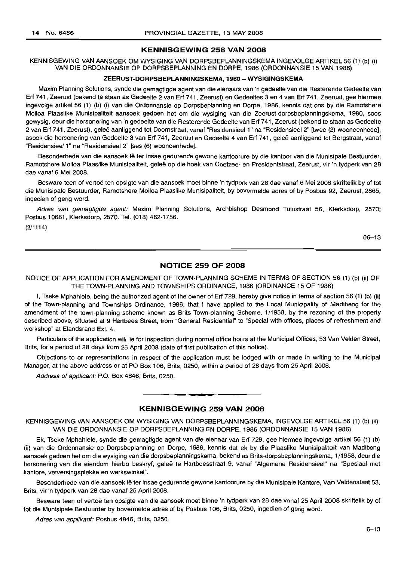#### **KENNISGEWING 258 VAN 2008**

KENNISGEWING VAN AANSOEK OM WYSIGING VAN DORPSBEPLANNINGSKEMA INGEVOLGE ARTIKEL 56 (1) (b) (i) VAN DIE ORDONNANSIE OP DORPSBEPLANNING EN DORPE, 1986 (ORDONNANSIE 15 VAN 1986)

#### **ZEERUST-DORPSBEPLANNINGSKEMA, 1980 - WYSIGINGSKEMA**

Maxim Planning Solutions, synde die gemagtigde agent van die eienaars van 'n gedeelte van die Resterende Gedeelte van Erf 741, Zeerust (bekend te staan as Gedeelte 2 van Erf 741, Zeerust) en Gedeeltes 3 en 4 van Erf 741, Zeerust, gee hiermee ingevolge artikel 56 (1) (b) (i) van die Ordonnansie op Dorpsbeplanning en Dorpe, 1986, kennis dat ons by die Ramotshere Moiloa Plaaslike Munisipaliteit aansoek gedoen het om die wysiging van die Zeerust-dorpsbeplanningskema, 1980, soos gewysig, deur die hersonering van 'n gedeelte van die Resterende Gedeelte van Erf 741, Zeerust (bekend te staan as Gedeelte 2 van Erf 741, Zeerust), gelee aanliggend tot Doornstraat, vanaf "ResidensieeI1" na "ResidensieeI2" [twee (2) wooneenhedej, asook die hersonering van Gedeelte 3 van Erf 741, Zeerust en Gedeelte 4 van Erf 741, gelee aanliggend tot Bergstraat, vanaf "Residensieel 1" na "Residensieel 2" [ses (6) wooneenhedej.

Besonderhede van die aansoek lê ter insae gedurende gewone kantoorure by die kantoor van die Munisipale Bestuurder, Ramotshere Moiloa Plaaslike Munisipaliteit, geleë op die hoek van Coetzee- en Presidentstraat, Zeerust, vir 'n tydperk van 28 dae vanaf 6 Mei 2008.

Besware teen of vertoë ten opsigte van die aansoek moet binne 'n tydperk van 28 dae vanaf 6 Mei 2008 skriftelik by of tot die Munisipale Bestuurder, Ramotshere Moiloa Plaaslike Munisipaliteit, by bovermelde adres of by Posbus 92, Zeerust, 2865, ingedien of gerig word.

Adres van gemagtigde agent: Maxim Planning Solutions, Archbishop Desmond Tutustraat 56, Klerksdorp, 2570; Posbus 10681, Klerksdorp, 2570. Tel. (018) 462-1756. (2/1114)

06-13

#### **NOTICE 259 OF 2008**

NOTICE OF APPLICATION FOR AMENDMENT OF TOWN-PLANNING SCHEME IN TERMS OF SECTION 56 (1) (b) (ii) OF THE TOWN-PLANNING AND TOWNSHIPS ORDINANCE, 1986 (ORDINANCE 15 OF 1986)

I, Tseke Mphahlele, being the authorized agent of the owner of Erf 729, hereby give notice in terms of section 56 (1) (b) (ii) of the Town-planning and Townships Ordinance, 1986, that I have applied to the Local Municipality of Madibeng for the amendment of the town-planning scheme known as Brits Town-planning Scheme, 1/1958, by the rezoning of the property described above, situated at 9 Hartbees Street, from "General Residential" to "Special with offices, places of refreshment and workshop" at Elandsrand Ext. 4.

Particulars of the application will lie for inspection during normal office hours at the Municipal Offices, 53 Van Velden Street, Brits, for a period of 28 days from 25 April 2008 (date of first publication of this notice).

Objections to or representations in respect of the application must be lodged with or made in writing to the Municipal Manager, at the above address or at PO Box 106, Brits, 0250, within a period of 28 days from 25 April 2008.

Address of applicant: P.O. Box 4846, Brits, 0250.

### **KENNISGEWING 259 VAN 2008**

**- .**

KENNISGEWING VAN AANSOEK OM WYSIGING VAN DORPSBEPLANNINGSKEMA, INGEVOLGE ARTIKEL 56 (1) (b) (ii) VAN DIE ORDONNANSIE OP DORPSBEPLANNING EN DORPE, 1986 (ORDONNANSIE 15 VAN 1986)

Ek, Tseke Mphahlele, synde die gemagtigde agent van die eienaar van Erf 729, gee hiermee ingevolge artikel 56 (1) (b) (ii) van die Ordonnansie op Dorpsbeplanning en Dorpe, 1986, kennis dat ek by die Plaaslike Munisipaliteit van Madibeng aansoek gedoen het om die wysiging van die dorpsbeplanningskema, bekend as Brits-dorpsbeplanningskema, 1/1958, deur die hersonering van die eiendom hierbo beskryf, geleë te Hartbeesstraat 9, vanaf "Algemene Residensieel" na "Spesiaal met kantore, verversingsplekke en werkswinkel".

Besonderhede van die aansoek Ie ter insae gedurende gewone kantoorure by die Munisipale Kantore, Van Veldenstaat 53, Brits, vir 'n tydperk van 28 dae vanaf 25 April 2008.

Besware teen of vertoë ten opsigte van die aansoek moet binne 'n tydperk van 28 dae vanaf 25 April 2008 skriftelik by of tot die Munisipale Bestuurder by bovermelde adres of by Posbus 106, Brits, 0250, ingedien of gerig word.

Adres van applikant: Posbus 4846, Brits, 0250.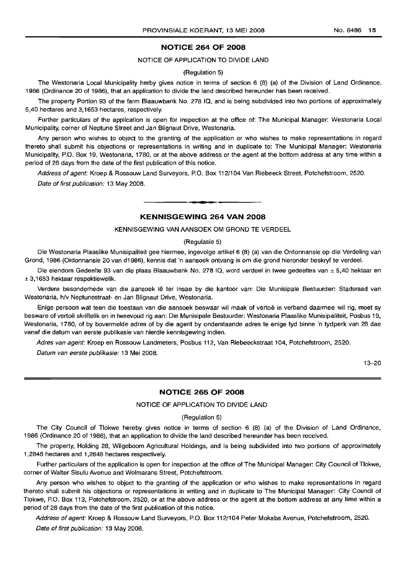#### **NOTICE 264 OF 2008**

#### NOTICE OF APPLICATION TO DIVIDE LAND

#### (Regulation 5)

The Westonaria Local Municipality herby gives notice in terms of section 6 (8) (a) of the Division of Land Ordinance, 1986 (Ordinance 20 of 1986), that an application to divide the land described hereunder has been received.

The property Portion 93 of the farm Blaauwbank No. 278 IQ, and is being subdivided into two portions of approximately 5,40 hectares and 3,1653 hectares, respectively.

Further particulars of the application is open for inspection at the office of: The Municipal Manager: Westonaria Local Municipality, corner of Neptune Street and Jan Blignaut Drive, Westonaria.

Any person who wishes to object to the granting of the application or who wishes to make representations in regard thereto shall submit his objections or representations in writing and in duplicate to: The Municipal Manager: Westonaria Municipality, P.O. Box 19, Westonaria, 1780, or at the above address or the agent at the bottom address at any time within a period of 28 days from the date of the first publication of this notice.

Address of agent: Kroep & Rossouw Land Surveyors, P.O. Box 112/104 Van Riebeeck Street, Potchefstroom, 2520.

Date of first publication: 13 May 2008.

#### **KENNISGEWING 264 VAN 2008**

**-**

#### KENNISGEWING VAN AANSOEK OM GROND TE VERDEEL

#### (Regulasie 5)

Die Westonaria Plaaslike Munisipaliteit gee hiermee, ingevolge artikel 6 (8) (a) van die Ordonnansie op die Verdeling van Grond, 1986 (Ordonnansie 20 van d1986), kennis dat 'n aansoek ontvang is om die grond hieronder beskryf te verdeel.

Die eiendom Gedeelte 93 van die plaas Blaauwbank No. 278 IQ, word verdeel in twee gedeeltes van ± 5,40 hektaar en ± 3,1653 hektaar respektiewelik.

Verdere besonderhede van die aansoek Ie ter insae by die kantoor van: Die Munisipale Bestuurder: Stadsraad van Westonaria, h/v Neptunestraat- en Jan Blignaut Drive, Westonaria.

Enige persoon wat teen die toestaan van die aansoek beswaar wil maak of vertoe in verband daarmee wil rig, moet sy besware of vertoe skriftelik en in tweevoud rig aan: Die Munisipale Bestuurder: Westonaria Plaaslike Munisipaliteit, Posbus 19, Westonaria, 1780, of by bovermelde adres of by die agent by onderstaande adres te enige tyd binne 'n tydperk van 28 dae vanaf die datum van eerste publikasie van hierdie kennisgewing indien.

Adres van agent: Kroep en Rossouw Landmeters, Posbus 112, Van Riebeeckstraat 104, Potchefstroom, 2520.

Datum van eerste publikasie: 13 Mei 2008.

13-20

#### **NOTICE 265 OF 2008**

#### NOTICE OF APPLICATION TO DIVIDE LAND

#### (Regulation 5)

The City Council of Tlokwe hereby gives notice in terms of section 6 (8) (a) of the Division of Land Ordinance, 1986 (Ordinance 20 ot 1986), that an application to divide the land described hereunder has been received.

The property, Holding 28, Wilgeboom Agricultural Holdings, and is being subdivided into two portions of approximately 1,2848 hectares and 1,2848 hectares respectively.

Further particulars of the application is open for inspection at the office of The Municipal Manager: City Council of Tlokwe, corner of Walter Sisulu Avenue and Wolmarans Street, Potchefstroom.

Any person who wishes to object to the granting of the application or who wishes to make representations in regard thereto shall submit his objections or representations in writing and in duplicate to The Municipal Manager: City Council of Tlokwe, P.O. Box 113, Potchefstroom, 2520, or at the above address or the agent at the bottom address at any time within a period of 28 days from the date of the first publication of this notice.

Address of agent: Kroep & Rossouw Land Surveyors, P.O. Box 112/104 Peter Mokaba Avenue, Potchefstroom, 2520.

Date of first publication: 13 May 2008.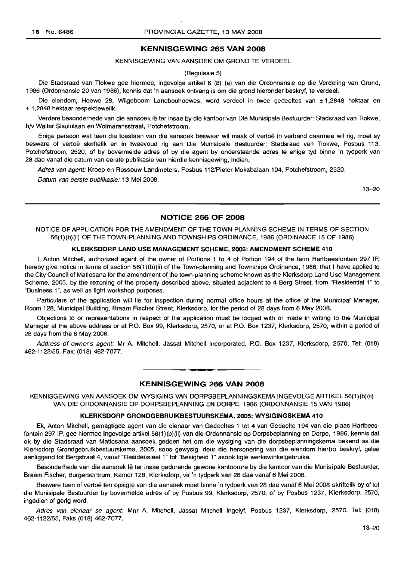#### **KENNISGEWING 265 VAN 2008**

KENNISGEWING VAN AANSOEK OM GROND TE VERDEEL

#### (Regulasie 5)

Die Stadsraad van Tlokwe gee hiermee, ingevolge artikel 6 (8) (a) van die Ordonnansie op die Verdeling van Grond, 1986 (Ordonnansie 20 van 1986), kennis dat 'n aansoek ontvang is om die grond hieronder beskryf, te verdeel.

Die eiendom, Hoewe 28, Wilgeboom Landbouhoewes, word verdeel in twee gedeeltes van ± 1,2848 hektaar en ± 1,2848 hektaar respektiewelik.

Verdere besonderhede van die aansoek iê ter insae by die kantoor van Die Munisipale Bestuurder: Stadsraad van Tlokwe, h/v Walter Sisululaan en Wolmaransstraat, Potchefstroom.

Enige persoon wat teen die toestaan van die aansoek beswaar wil maak of vertoë in verband daarmee wil rig, moet sy besware of vertoe skriftelik en in tweevoud rig aan Die Munisipale Bestuurder: Stadsraad van Tlokwe, Posbus 113, Potchefstroom, 2520, of by bovermelde adres of by die agent by onderstaande adres te enige tyd binne 'n tydperk van 28 dae vanaf die datum van eerste publikasie van hierdie kennisgewing, indien.

Adres van agent: Kroep en Rossouw Landmeters, Posbus 112/Pieter Mokabalaan 104, Potchefstroom, 2520.

Datum van eerste publikasie: 13 Mei 2008.

13-20

#### **NOTICE 266 OF 2008**

NOTICE OF APPLICATION FOR THE AMENDMENT OF THE TOWN-PLANNING SCHEME IN TERMS OF SECTION 56(1){b){ii) OF THE TOWN-PLANNING AND TOWNSHIPS ORDINANCE, 1986 (ORDINANCE 15 OF 1986)

#### **KLERKSDORP LAND USE MANAGEMENT SCHEME, 2005: AMENDMENT SCHEME 410**

I, Anton Mitchell, authorized agent of the owner of Portions 1 to 4 of Portion 194 of the farm Hartbeesfontein 297 IP, hereby give notice in terms of section 56{1)(b){ii) of the Town-planning and Townships Ordinance, 1986, that I have applied to the City Council of Matlosana for the amendment of the town-planning scheme known as the Klerksdorp Land Use Management Scheme, 2005, by the rezoning of the property described above, situated adjacient to 4 Berg Street, from "Residential 1" to "Business 1", as well as light workshop purposes.

Particulars of the application will lie for inspection during normal office hours at the office of the Municipal Manager, Room 128, Municipal Building, Braam Fischer Street, Klerksdorp, for the period of 28 days from 6 May 2008.

Objections to or representations in respect of the application must be lodged with or made in writing to the Municipal Manager at the above address or at P.O. Box 99, Klerksdorp, 2570, or at P.O. Box 1237, Klerksdorp, 2570, within a period of 28 days from the 6 May 2008.

Address of owner's agent: Mr A. Mitchell, Jassat Mitchell Incorporated, P.O. Box 1237, Klerksdorp, 2570. Tel: (018) 462-1122/55. Fax: (018) 462-7077.

#### **KENNISGEWING 266 VAN 2008**

**• •**

KENNISGEWING VAN AANSOEK OM WYSIGING VAN DORPSBEPLANNINGSKEMA INGEVOLGE ARTIKEL 56(1){b){ii) VAN DIE ORDONNANSIE OP DORPSBEPLANNING EN DORPE, 1986 (ORDONNANSIE 15 VAN 1986)

#### **KLERKSDORP GRONDGEBRUIKBESTUURSKEMA, 2005: WYSIGINGSKEMA 410**

Ek, Anton Mitchell, gemagtigde agent van die eienaar van Gedeeltes 1 tot 4 van Gedeelte 194 van die plaas Hartbeesfontein 297 IP, gee hiermee ingevolge artikel 56{1)(b){ii) van die Ordonnansie op Dorpsbeplanning en Dorpe, 1986, kennis dat ek by die Stadsraad van Matlosana aansoek gedoen het om die wysiging van die dorpsbeplanningskema bekend as die Klerksdorp Grondgebruikbestuurskema, 2005, soos gewysig, deur die hersonering van die eiendom hierbo beskryf, gelee aanliggend tot Bergstraat 4, vanaf "Residensieel 1" tot "Besigheid 1" asook Iigte werkswinkelgebruike.

Besonderhede van die aansoek lê ter insae gedurende gewone kantoorure by die kantoor van die Munisipale Bestuurder, Braam Fischer, Burgersentrum, Kamer 128, Klerksdorp, vir 'n tydperk van 28 dae vanaf 6 Mei 2008.

Besware teen of vertoë ten opsigte van die aansoek moet binne 'n tydperk van 28 dae vanaf 6 Mei 2008 skriftelik by of tot die Munisipale Bestuurder by bovermelde adres of by Posbus 99, Klerksdorp, 2570, of by Posbus 1237, Klerksdorp, 2570, ingedien of gerig word.

Adres van eienaar se agent: Mnr A. Mitchell, Jassat Mitchell Ingelyf, Posbus 1237, Klerksdorp, 2570. Tel: (018) 462-1122/55, Faks (018) 462-7077.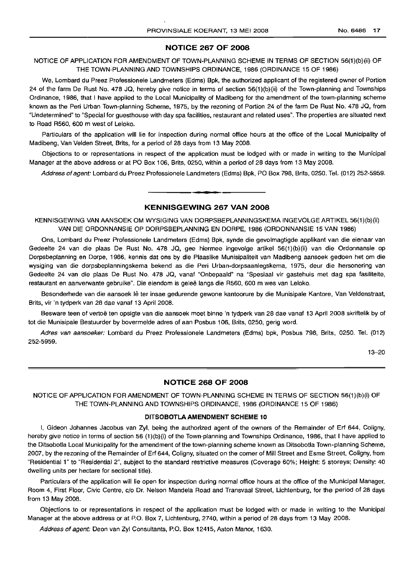#### **NOTICE 267 OF 2008**

#### NOTICE OF APPLICATION FOR AMENDMENT OF TOWN-PLANNING SCHEME IN TERMS OF SECTION 56(1)(b)(ii) OF THE TOWN-PLANNING AND TOWNSHIPS ORDINANCE, 1986 (ORDINANCE 15 OF 1986)

We, Lombard du Preez Professionele Landmeters (Edms) Bpk, the authorized applicant of the registered owner of Portion 24 of the farm De Rust No. 478 JQ, hereby give notice in terms of section 56(1)(b)(ii) of the Town-planning and Townships Ordinance, 1986, that I have applied to the Local Municipality of Madibeng for the amendment of the town-planning scheme known as the Peri Urban Town-planning Scheme, 1975, by the rezoning of Portion 24 of the farm De Rust No. 478 JQ, from "Undetermined" to "Special for guesthouse with day spa facilities, restaurant and related uses". The properties are situated next to Road R560, 600 m west of Leloko.

Particulars of the application will lie for inspection during normal office hours at the office of the Local Municipality of Madibeng, Van Velden Street, Brits, for a period of 28 days from 13 May 2008.

Objections to or representations in respect of the application must be lodged with or made in writing to the Municipal Manager at the above address or at PO Box 106, Brits, 0250, within a period of 28 days from 13 May 2008.

Address of agent: Lombard du Preez Professionele Landmeters (Edms) Bpk, PO Box 798, Brits, 0250. Tel. (012) 252-5959.

#### **KENNISGEWING 267 VAN 2008**

**• •**

KENNISGEWING VAN AANSOEK OM WYSIGING VAN DORPSBEPLANNINGSKEMA INGEVOLGE ARTIKEL 56(1)(b)(ii) VAN DIE ORDONNANSIE OP DORPSBEPLANNING EN DORPE, 1986 (ORDONNANSIE 15 VAN 1986)

Ons, Lombard du Preez Professionele Landmeters (Edms) Bpk, synde die gevolmagtigde applikant van die eienaar van Gedeelte 24 van die plaas De Rust No. 478 JQ, gee hiermee ingevolge artikel 56(1)(b)(ii) van die Ordonnansie op Dorpsbeplanning en Dorpe, 1986, kennis dat ons by die Plaaslike Munisipaliteit van Madibeng aansoek gedoen het om die wysiging van die dorpsbeplanningskema bekend as die Peri Urban-dorpsaanlegskema, 1975, deur die hersonering van Gedeelte 24 van die plaas De Rust No. 478 JQ, vanaf "Onbepaald" na "Spesiaal vir gastehuis met dag spa fasiliteite, restaurant en aanverwante gebruike". Die eiendom is qelee langs die R560, 600 m wes van Leloko.

Besonderhede van die aansoek lê ter insae gedurende gewone kantoorure by die Munisipale Kantore, Van Veldenstraat, Brits, vir 'n tydperk van 28 dae vanaf 13 April 2008.

Besware teen of vertoë ten opsigte van die aansoek moet binne 'n tydperk van 28 dae vanaf 13 April 2008 skriftelik by of tot die Munisipale Bestuurder by bovermelde adres of aan Posbus 106, Brits, 0250, gerig word.

Adres van aansoeker: Lombard du Preez Professionele Landmeters (Edms) bpk, Posbus 798, Brits, 0250. Tel. (012) 252-5959.

13-20

#### **NOTICE 268 OF 2008**

NOTICE OF APPLICATION FOR AMENDMENT OF TOWN-PLANNING SCHEME IN TERMS OF SECTION 56(1)(b)(i) OF THE TOWN-PLANNING AND TOWNSHIPS ORDINANCE, 1986 (ORDINANCE 15 OF 1986)

#### **DITSOBOTLAAMENDMENT SCHEME 10**

I, Gideon Johannes Jacobus van Zyl, being the authorized agent of the owners of the Remainder of Erf 644, Coligny, hereby give notice in terms of section 56 (1)(b)(i) of the Town-planning and Townships Ordinance, 1986, that I have applied to the Ditsobotla Local Municipality for the amendment of the town-planning scheme known as Ditsobotla Town-planning Scheme, 2007, by the rezoning of the Remainder of Erf 644, Coligny, situated on the corner of Mill Street and Esme Street, Coligny, from "Residential 1" to "Residential 2", subject to the standard restrictive measures (Coverage 60%; Height: 5 storeys; Density: 40 dwelling units per hectare for sectional title).

Particulars of the application will lie open for inspection during normal office hours at the office of the Municipal Manager, Room 4, First Floor, Civic Centre, c/o Dr. Nelson Mandela Road and Transvaal Street, Lichtenburg, for the period of 28 days from 13 May 2008.

Objections to or representations in respect of the application must be lodged with or made in writing to the Municipal Manager at the above address or at P.O. Box 7, Lichtenburg, 2740, within a period of 28 days from 13 May 2008.

Address of agent: Deon van Zyl Consultants, P.O. Box 12415, Aston Manor, 1630.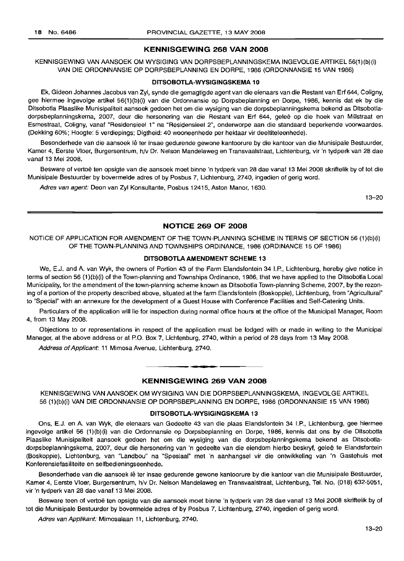#### **KENNISGEWING 268 VAN 2008**

KENNISGEWING VAN AANSOEK OM WYSIGING VAN DORPSBEPLANNINGSKEMA INGEVOLGE ARTIKEL 56(1)(b)(i) VAN DIE ORDONNANSIE OP DORPSBEPLANNING EN DORPE, 1986 (ORDONNANSIE 15 VAN 1986)

#### **DITSOBOTLA-WYSIGINGSKEMA 10**

Ek, Gideon Johannes Jacobus van Zyl, synde die gemagtigde agent van die eienaars van die Restant van Erf 644, Coligny, gee hiermee ingevolge artikel 56(1)(b)(i) van die Ordonnansie op Dorpsbeplanning en Dorpe, 1986, kennis dat ek by die Ditsobotla Plaaslike Munisipaliteit aansoek gedoen het om die wysiging van die dorpsbeplanningskema bekend as Ditsobotladorpsbeplanningskema, 2007, deur die hersonering van die Restant van Erf 644, gelee op die hoek van Milistraat en Esmestraat, Coligny, vanaf "Residensieel 1" na "Residensieel 2", onderworpe aan die standaard beperkende voorwaardes. (Dekking 60%; Hoogte: 5 verdiepings; Digtheid: 40 wooneenhede per hektaar vir deeltiteleenhede).

Besonderhede van die aansoek lê ter insae gedurende gewone kantoorure by die kantoor van die Munisipale Bestuurder, Kamer 4, Eerste Vloer, Burgersentrum, h/v Dr. Nelson Mandelaweg en Transvaalstraat, Lichtenburg, vir 'n tydperk van 28 dae vanaf 13 Mei 2008.

Besware of vertoë ten opsigte van die aansoek moet binne 'n tydperk van 28 dae vanaf 13 Mei 2008 skriftelik by of tot die Munisipale Bestuurder by bovermelde adres of by Posbus 7, Lichtenburg, 2740, ingedien of gerig word.

Adres van agent: Deon van Zyl Konsultante, Posbus 12415, Aston Manor, 1630.

13-20

#### **NOTICE 269 OF 2008**

NOTICE OF APPLICATION FOR AMENDMENT OF THE TOWN-PLANNING SCHEME IN TERMS OF SECTION 56 (1)(b)(i) OF THE TOWN-PLANNING AND TOWNSHIPS ORDINANCE, 1986 (ORDINANCE 15 OF 1986)

#### **DITSOBOTLAAMENDMENT SCHEME 13**

We, E.J. and A. van Wyk, the owners of Portion 43 of the Farm Elandsfontein 34 I.P., Lichtenburg, hereby give notice in terms of section 56 (1)(b)(i) of the Town-planning and Townships Ordinance, 1986, that we have applied to the Ditsobotla Local Municipality, for the amendment of the town-planning scheme known as Ditsobotla Town-planning Scheme, 2007, by the rezoning of a portion of the property described above, situated at the farm Elandsfontein (Boskoppie), Lichtenburg, from "Agricultural" to "Special" with an annexure for the development of a Guest House with Conference Facilities and Self-Catering Units.

Particulars of the application will lie for inspection during normal office hours at the office of the Municipal Manager, Room 4, from 13 May 2008.

Objections to or representations in respect of the application must be lodged with or made in writing to the Municipal Manager, at the above address or at P.O. Box 7, Lichtenburg, 2740, within a period of 28 days from 13 May 2008.

Address of Applicant: 11 Mimosa Avenue, Lichtenburg, 2740.

### **• KENNISGEWING 269 VAN 2008**

KENNISGEWING VAN AANSOEK OM WYSIGING VAN DIE DORPSBEPLANNINGSKEMA, INGEVOLGE ARTIKEL 56 (1)(b)(i) VAN DIE ORDONNANSIE OP DORPSBEPLANNING EN DORPE, 1986 (ORDONNANSIE 15 VAN 1986)

#### **DITSOBOTLA-WYSIGINGSKEMA** 13

Ons, E.J. en A. van Wyk, die eienaars van Gedeelte 43 van die plaas Elandsfontein 34 I.P., Lichtenburg, gee hiermee ingevolge artikel 56 (1 )(b)(i) van die Ordonnansie op Dorpsbeplanning en Dorpe, 1986, kennis dat ons by die Ditsobotla Plaaslike Munisipaliteit aansoek gedoen het om die wysiging van die dorpsbeplanningskema bekend as Ditsobotladorpsbeplanningskema, 2007, deur die hersonering van 'n gedeelte van die eiendom hierbo beskryf, gelee te Elandsfontein (Boskoppie), Lichtenburg, van "Landbou" na "Spesiaal" met 'n aanhangsel vir die ontwikkeling van 'n Gastehuis met Konferensiefasiliteite en selfbedieningseenhede.

Besonderhede van die aansoek lê ter insae gedurende gewone kantoorure by die kantoor van die Munisipale Bestuurder, Kamer 4, Eerste Vloer, Burgersentrum, h/v Dr. Nelson Mandelaweg en Transvaalstraat, Lichtenburg, Tel. No. (018) 632-5051, vir 'n tydperk van 28 dae vanaf 13 Mei 2008.

Besware teen of vertoë ten opsigte van die aansoek moet binne 'n tydperk van 28 dae vanaf 13 Mei 2008 skriftelik by of tot die Munisipale Bestuurder by bovermelde adres of by Posbus 7, Lichtenburg, 2740, ingedien of gerig word.

Adres van Applikant: Mimosalaan 11, Lichtenburg, 2740.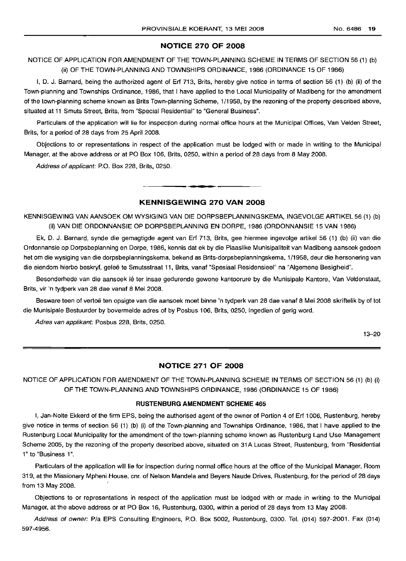#### NOTICE 270 OF 2008

### NOTICE OF APPLICATION FOR AMENDMENT OF THE TOWN-PLANNING SCHEME IN TERMS OF SECTION 56 (1) (b) (ii) OF THE TOWN-PLANNING AND TOWNSHIPS ORDINANCE, 1986 (ORDINANCE 15 OF 1986)

I, D. J. Barnard, being the authorized agent of Erf 713, Brits, hereby give notice in terms of section 56 (1) (b) (ii) of the Town-planning and Townships Ordinance, 1986, that I have applied to the Local Municipality of Madibeng for the amendment of the town-planning scheme known as Brits Town-planning Scheme, 1/1958, by the rezoning of the property described above, situated at 11 Smuts Street, Brits, from "Special Residential" to "General Business".

Particulars of the application will lie for inspection during normal office hours at the Municipal Offices, Van Velden Street, Brits, for a period of 28 days from 25 April 2008.

Objections to or representations in respect of the application must be lodged with or made in writing to the Municipal Manager, at the above address or at PO Box 106, Brits, 0250, within a period of 28 days from 8 May 2008.

Address of applicant: P.O. Box 228, Brits, 0250.

#### KENNISGEWING 270 VAN 2008

**•**

KENNISGEWING VAN AANSOEK OM WYSIGING VAN DIE DORPSBEPLANNINGSKEMA, INGEVOLGE ARTIKEL 56 (1) (b) (ii) VAN DIE ORDONNANSIE OP DORPSBEPLANNING EN DORPE, 1986 (ORDONNANSIE 15 VAN 1986)

Ek, D. J. Barnard, synde die gemagtigde agent van Erf 713, Brits, gee hiermee ingevolge artikel 56 (1) (b) (ii) van die Ordonnansie op Dorpsbeplanning en Dorpe, 1986, kennis dat ek by die Plaaslike Munisipaliteit van Madibeng aansoek gedoen het om die wysiging van die dorpsbeplanningskema, bekend as Brits-dorpsbeplanningskema, 1/1958, deur die hersonering van die eiendom hierbo beskryf, geleë te Smutsstraat 11, Brits, vanaf "Spesiaal Residensieel" na "Algemene Besigheid".

Besonderhede van die aansoek Ie ter insae gedurende gewone kantoorure by die Munisipale Kantore, Van Veldenstaat, Brits, vir 'n tydperk van 28 dae vanaf 8 Mei 2008.

Besware teen of vertoë ten opsigte van die aansoek moet binne 'n tydperk van 28 dae vanaf 8 Mei 2008 skriftelik by of tot die Munisipale Bestuurder by bovermelde adres of by Posbus 106, Brits, 0250, ingedien of gerig word.

Adres van applikant: Posbus 228, Brits, 0250.

13-20

#### NOTICE 271 OF 2008

NOTICE OF APPLICATION FOR AMENDMENT OF THE TOWN-PLANNING SCHEME IN TERMS OF SECTION 56 (1) (b) (i) OF THE TOWN-PLANNING AND TOWNSHIPS ORDINANCE, 1986 (ORDINANCE 15 OF 1986)

#### RUSTENBURG AMENDMENT SCHEME 465

I, Jan-Nolte Ekkerd of the firm EPS, being the authorised agent of the owner of Portion 4 of Erf 1006, Rustenburg, hereby give notice in terms of section 56 (1) (b) (i) of the Town-planning and Townships Ordinance, 1986, that I have applied to the Rustenburg Local Municipality for the amendment of the town-planning scheme known as Rustenburg Land Use Management Scheme 2005, by the rezoning of the property described above, situated on 31A Lucas Street, Rustenburg, from "Residential 1" to "Business 1".

Particulars of the application will lie for inspection during normal office hours at the office of the Municipal Manager, Room 319, at the Missionary Mpheni House, em. of Nelson Mandela and Beyers Naude Drives, Rustenburg, for the period of 28 days from 13 May 2008.

Objections to or representations in respect of the application must be lodged with or made in writing to the Municipal Manager, at the above address or at PO Box 16, Rustenburg, 0300, within a period of 28 days from 13 May 2008.

Address of owner: P/a EPS Consulting Engineers, P.O. Box 5002, Rustenburg, 0300. Tel. (014) 597-2001. Fax (014) 597-4956.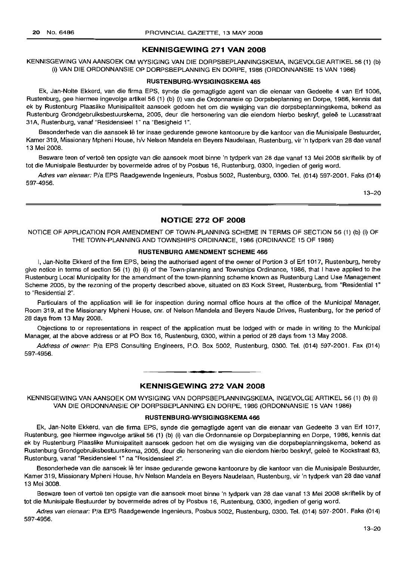#### **KENNISGEWING 271 VAN 2008**

KENNISGEWING VAN AANSOEK OM WYSIGING VAN DIE DORPSBEPLANNINGSKEMA. INGEVOLGE ARTIKEL 56 (1) (b) (i) VAN DIE ORDONNANSIE OP DORPSBEPLANNING EN DORPE, 1986 (ORDONNANSIE 15 VAN 1986)

#### **RUSTENBURG-WYSIGINGSKEMA** 465

Ek, Jan-Nolte Ekkerd, van die firma EPS. synde die gemagtigde agent van die eienaar van Gedeelte 4 van Erf 1006, Rustenburg, gee hiermee ingevolge artikel 56 (1) (b) (i) van die Ordonnansie op Dorpsbeplanning en Dorpe, 1986, kennis dat ek by Rustenburg Plaaslike Munisipaliteit aansoek gedoen het om die wysiging van die dorpsbeplanningskema, bekend as Rustenburg Grondgebruiksbestuurskema, 2005, deur die hersonering van die eiendom hierbo beskryf, geleë te Lucasstraat 31A, Rustenburg, vanaf "Residensieel 1" na "Besigheid 1",

Besonderhede van die aansoek lê ter insae gedurende gewone kantoorure by die kantoor van die Munisipale Bestuurder, Kamer 319, Missionary Mpheni House, h/v Nelson Mandela en Beyers Naudelaan, Rustenburg, vir 'n tydperk van 28 dae vanaf 13 Mei 2008,

Besware teen of vertoë ten opsigte van die aansoek moet binne 'n tydperk van 28 dae vanaf 13 Mei 2008 skriftelik by of tot die Munisipale Bestuurder by bovermelde adres of by Posbus 16, Rustenburg, 0300, ingedien of gerig word.

Adres van eienaar: *Pia* EPS Raadgewende Ingenieurs, Posbus 5002, Rustenburg, 0300. Tel. (014) 597-2001. Faks (014) 597-4956.

13-20

#### **NOTICE 272 OF 2008**

NOTICE OF APPLICATION FOR AMENDMENT OF TOWN-PLANNING SCHEME IN TERMS OF SECTION 56 (1) (b) (i) OF THE TOWN-PLANNING AND TOWNSHIPS ORDINANCE, 1986 (ORDINANCE 15 OF 1986)

#### **RUSTENBURG AMENDMENT SCHEME** 466

I, Jan-Nolte Ekkerd of the firm EPS. being the authorised agent of the owner of Portion 3 of Erf 1017, Rustenburg, hereby give notice in terms of section 56 (1) (b) (i) of the Town-planning and Townships Ordinance, 1986, that I have applied to the Rustenburg Local Municipality for the amendment of the town-planning scheme known as Rustenburg Land Use Management Scheme 2005, by the rezoning of the property described above. situated on 83 Kock Street, Rustenburg. from "Residential 1" to "Residential 2",

Particulars of the application will lie for inspection during normal office hours at the office of the Municipal Manager. Room 319, at the Missionary Mpheni House, cnr, of Nelson Mandela and Beyers Naude Drives, Rustenburg. for the period of 28 days from 13 May 2008.

Objections to or representations in respect of the application must be lodged with or made in writing to the Municipal Manager, at the above address or at PO Box 16. Rustenburg, 0300, within a period of 28 days from 13 May 2008.

Address of owner: *Pia* EPS Consulting Engineers, PO. Box 5002. Rustenburg, 0300. Tel. (014) 597-2001. Fax (014) 597-4956.

### **• KENNISGEWING 272 VAN 2008**

KENNISGEWING VAN AANSOEK OM WYSIGING VAN DORPSBEPLANNINGSKEMA. INGEVOLGE ARTIKEL 56 (1) (b) (i) VAN DIE ORDONNANSIE OP DORPSBEPLANNING EN DORPE, 1986 (ORDONNANSIE 15 VAN 1986)

#### **RUSTENBURG-WYSIGINGSKEMA** 466

Ek, Jan-Nolte Ekkerd, van die firma EPS, synde die gemagtigde agent van die eienaar van Gedeelte 3 van Erf 1017, Rustenburg, gee hiermee ingevolge artikel 56 (1) (b) (i) van die Ordonnansie op Dorpsbeplanning en Dorpe, 1986, kennis dat ek by Rustenburg Plaaslike Munisipaliteit aansoek gedoen het om die wysiging van die dorpsbeplanningskema, bekend as Rustenburg Grondgebruiksbestuurskema, 2005, deur die hersonering van die eiendom hierbo beskryf, gelee te Kockstraat 83, Rustenburg, vanaf "Residensieel 1" na "Residensieel 2",

Besonderhede van die aansoek lê ter insae gedurende gewone kantoorure by die kantoor van die Munisipale Bestuurder, Kamer 319, Missionary Mpheni House, h/v Nelson Mandela en Beyers Naudelaan, Rustenburg. vir 'n tydperk van 28 dae vanaf 13 Mei 3008,

Besware teen of vertoë ten opsigte van die aansoek moet binne 'n tydperk van 28 dae vanaf 13 Mei 2008 skriftelik by of tot die Munisipale Bestuurder by bovermelde adres of by Posbus 16, Rustenburg, 0300, ingedien of gerig word.

Adres van eienaar: *Pia*EPS Raadgewende Ingenieurs, Posbus 5002, Rustenburg, 0300. Tel. (014) 597-2001. Faks (014) 597-4956.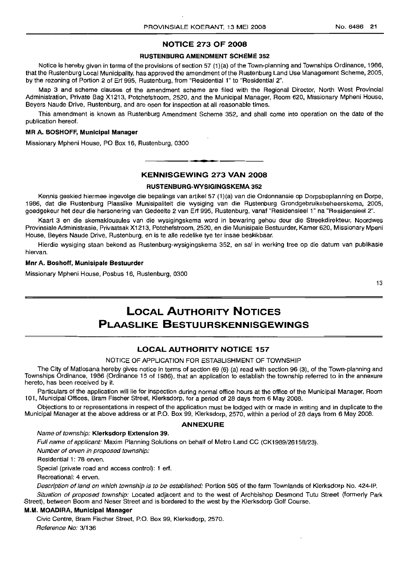### NOTICE 273 OF 2008

#### RUSTENBURG AMENDMENT SCHEME 352

Notice is hereby given in terms of the provisions of section 57 (1)(a) of the Town-planning and Townships Ordinance, 1986, that the Rustenburg Local Municipality, has approved the amendment of the Rustenburg Land Use Management Scheme, 2005, by the rezoning of Portion 2 of Erf 995, Rustenburg, from "Residential 1" to "Residential 2".

Map 3 and scheme clauses of the amendment scheme are filed with the Regional Director, North West Provincial Administration, Private Bag X1213, Potchefstroom, 2520, and the Municipal Manager, Room 620, Missionary Mpheni House, Beyers Naude Drive, Rustenburg, and are open for inspection at all reasonable times.

This amendment is known as Rustenburg Amendment Scheme 352, and shall come into operation on the date of the publication hereof.

#### MR A. BOSHOFF, Municipal Manager

Missionary Mpheni House, PO Box 16, Rustenburg, 0300

### KENNISGEWING 273 VAN 2008

**L •**

#### RUSTENBURG-WYSIGINGSKEMA 352

Kennis geskied hiermee ingevolge die bepalings van artikel 57 (1)(a) van die Ordonnansie op Dorpsbeplanning en Dorpe, 1986, dat die Rustenburg Plaaslike Munisipaliteit die wysiging van die Rustenburg Grondgebruiksbeheerskema, 2005, goedgekeur het deur die hersonering van Gedeelte 2 van Erf 995, Rustenburg, vanaf "Residensieel 1" na "Residensieel 2".

Kaart 3 en die skemaklousules van die wysigingskema word in bewaring gehou deur die Streekdirekteur, Noordwes Provinsiale Administrasie, Privaatsak X1213, Potchefstroom, 2520, en die Munisipale Bestuurder, Kamer 620, Missionary Mpeni House, Beyers Naude Drive, Rustenburg, en is te aile redelike tye ter insae beskikbaar.

Hierdie wysiging staan bekend as Rustenburg-wysigingskema 352, en sal in werking tree op die datum van publikasie hiervan.

#### Mnr A. Boshoff, Munisipale Bestuurder

Missionary Mpheni House, Posbus 16, Rustenburg, 0300

13

## LOCAL AUTHORITY NOTICES PLAASLIKE BESTUURSKENNISGEWINGS

### LOCAL AUTHORITY NOTICE 157

#### NOTICE OF APPLICATION FOR ESTABLISHMENT OF TOWNSHIP

The City of Matlosana hereby gives notice in terms of section 69 (6) (a) read with section 96 (3), of the Town-planning and Townships Ordinance, 1986 (Ordinance 15 of 1986), that an application to establish the township referred to in the annexure hereto, has been received by it.

Particulars of the application will lie for inspection during normal office hours at the office of the Municipal Manager, Room 101, Municipal Offices, Bram Fischer Street, Klerksdorp, for a period of 28 days from 6 May 2008.

Objections to or representations in respect of the application must be lodged with or made in writing and in duplicate to the Municipal Manager at the above address or at P.O. Box 99, Klerksdorp, 2570, within a period of 28 days from 6 May 2008.

#### ANNEXURE

#### Name of township: Klerksdorp Extension 39.

Full name of applicant: Maxim Planning Solutions on behalf of Metro Land CC (CK1989/26158/23).

Number of erven in proposed township:

Residential 1: 78 erven.

Special (private road and access control): 1 erf.

Recreational: 4 erven.

Description of land on which township is to be established: Portion 505 of the farm Townlands of Klerksdorp No. 424-IP.

Situation of proposed township: Located adjacent and to the west of Archbishop Desmond Tutu Street (formerly Park Street), between Boom and Neser Street and is bordered to the west by the Klerksdorp Golf Course.

#### M.M. MOADIRA, Municipal Manager

Civic Centre, Bram Fischer Street, P.O. Box 99, Klerksdorp, 2570. Reference No: 3/136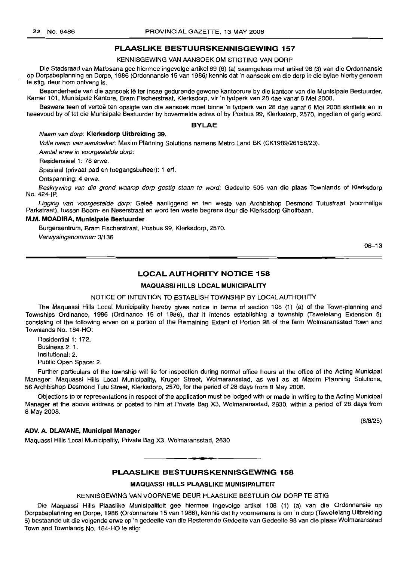#### **PLAASLIKE BESTUURSKENNISGEWING 157**

KENNISGEWING VAN AANSOEK OM STIGTING VAN DORP

Die Stadsraad van Matlosana gee hiermee ingevolge artikel 69 (6) (a) saamgelees met artikel 96 (3) van die Ordonnansie op Dorpsbeplanning en Dorpe, 1986 (Ordonnansie 15 van 1986) kennis dat 'n aansoek om die dorp in die bylae hierby genoem te stig, deur hom ontvang is.

Besonderhede van die aansoek lê ter insae gedurende gewone kantoorure by die kantoor van die Munisipale Bestuurder, Kamer 101, Munisipale Kantore, Bram Fischerstraat, Klerksdorp, vir 'n tydperk van 28 dae vanaf 6 Mei 2008.

Besware teen of vertoë ten opsigte van die aansoek moet binne 'n tydperk van 28 dae vanaf 6 Mei 2008 skriftelik en in tweevoud by of tot die Munisipale Bestuurder by bovermelde adres of by Posbus 99, Klerksdorp, 2570, ingedien of gerig word.

#### **BYLAE**

#### Naam van dorp: **Klerksdorp Uitbreiding** 39.

Volle naam van aansoeker: Maxim Planning Solutions namens Metro Land BK (CK1989/26158/23).

Aantal erwe in voorgestelde dorp:

Residensieel 1: 78 erwe.

Spesiaal (privaat pad en toegangsbeheer): 1 erf.

Ontspanning: 4 erwe.

Beskrywing van die grond waarop dorp gestig staan te word: Gedeelte 505 van die plaas Townlands of Klerksdorp No. 424-IP.

Ligging van voorgestelde dorp: Geleë aanliggend en ten weste van Archbishop Desmond Tutustraat (voormalige Parkstraat), tussen Boom- en Neserstraat en word ten weste begrens deur die Klerksdorp Gholfbaan.

#### M.M. **MOADIRA, Munisipale Bestuurder**

Burgersentrum, Bram Fischerstraat, Posbus 99, Klerksdorp, 2570.

Verwysingsnommer: 3/136

06-13

#### **LOCAL AUTHORITY NOTICE 158**

#### **MAQUASSI HILLS LOCAL MUNICIPALITY**

#### NOTICE OF INTENTION TO ESTABLISH TOWNSHIP BY LOCAL AUTHORITY

The Maquassi Hills Local Municipality hereby gives notice in terms of section 108 (1) (a) of the Town-planning and Townships Ordinance, 1986 (Ordinance 15 of 1986), that it intends establishing a township (Tswelelang Extension 5) consisting of the following erven on a portion of the Remaining Extent of Portion 98 of the farm Wolmaransstad Town and Townlands No. 184-HO:

Residential 1: 172. Business 2: 1. Insitutional: 2. Public Open Space: 2.

Further particulars of the township will lie for inspection during normal office hours at the office of the Acting Municipal Manager: Maquassi Hills Local Municipality, Kruger Street, Wolmaransstad, as well as at Maxim Planning Solutions, 56 Archbishop Desmond Tutu Street, Klerksdorp, 2570, for the period of 28 days from 8 May 2008.

Objections to or representations in respect of the application must be lodged with or made in writing to the Acting Municipal Manager at the above address or posted to him at Private Bag X3, Wolmaransstad, 2630, within a period of 28 days from 8 May 2008.

#### **ADV. A. DLAVANE, Municipal Manager**

(8/8/25)

Maquassi Hills Local Municipality, Private Bag X3, Wolmaransstad, 2630

#### **PLAASLIKE BESTUURSKENNISGEWING 158**

**.-**

#### **MAQUASSI HILLS PLAASLIKE MUNISIPALITEIT**

#### KENNISGEWING VAN VOORNEME DEUR PLAASLIKE BESTUUR OM DORP TE STIG

Die Maquassi Hills Plaaslike Munisipaliteit gee hiermee ingevolge artikel 108 (1) (a) van die Ordonnansie op Dorpsbeplanning en Dorpe, 1986 (Ordonnansie 15 van 1986), kennis dat hy voornemens is om 'n dorp (Tswelelang Uitbreiding 5) bestaande uit die volgende erwe op 'n gedeelte van die Resterende Gedeelte van Gedeelte 98 van die plaas Wolmaransstad Town and Townlands No. 184-HO te stig: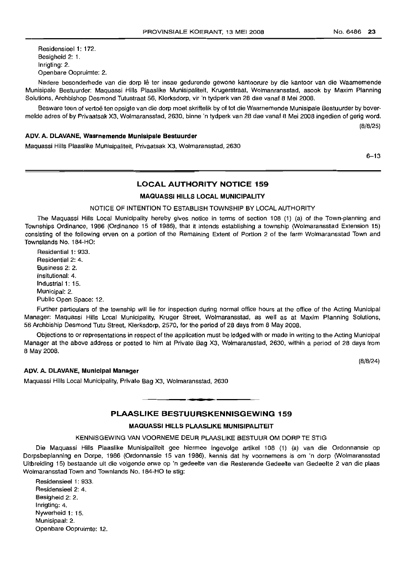Residensieel 1: 172. Besigheid 2: 1. Inrigting: 2. Openbare Oopruimte: 2.

Nadere besonderhede van die dorp lê ter insae gedurende gewone kantoorure by die kantoor van die Waarnemende Munisipale Bestuurder: Maquassi Hills Plaaslike Munisipaliteit, Krugerstraat, Wolmanransstad, asook by Maxim Planning Solutions, Archbishop Desmond Tutustraat 56, Klerksdorp, vir 'n tydperk van 28 dae vanaf 8 Mei 2008.

Besware teen of vertoë ten opsigte van die dorp moet skriftelik by of tot die Waarnemende Munisipale Bestuurder by bovermelde adres of by Privaatsak X3, Wolmaransstad, 2630, binne 'n tydperk van 28 dae vanaf 8 Mei 2008 ingedien of gerig word. (8/8/25)

#### ADV. A. DLAVANE, Waarnemende Munisipale Bestuurder

Maquassi Hills Plaaslike Munisipaliteit, Privaatsak X3, Wolmaransstad, 2630

6-13

#### LOCAL AUTHORITY NOTICE 159

#### MAQUASSI HILLS LOCAL MUNICIPALITY

#### NOTICE OF INTENTION TO ESTABLISH TOWNSHIP BY LOCAL AUTHORITY

The Maquassi Hills Local Municipality hereby gives notice in terms of section 108 (1) (a) of the Town-planning and Townships Ordinance, 1986 (Ordinance 15 of 1986), that it intends establishing a township (Wolmaransstad Extension 15) consisting of the following erven on a portion of the Remaining Extent of Portion 2 of the farm Wolmaransstad Town and Townslands No. 184-HO:

Residential 1: 933. Residential 2: 4. Business 2: 2. Insitutional: 4. Industrial 1: 15. Municipal: 2. Public Open Space: 12.

Further particulars of the township will lie for inspection during normal office hours at the office of the Acting Municipal Manager: Maquassi Hills Local Municipality, Kruger Street, Wolmaransstad, as well as at Maxim Planning Solutions, 56 Archbiship Desmond Tutu Street, Klerksdorp, 2570, for the period of 28 days from 8 May 2008.

Objections to or representations in respect of the application must be lodged with or made in writing to the Acting Municipal Manager at the above address or posted to him at Private Bag X3, Wolmaransstad, 2630, within a period of 28 days from 8 May 2008.

(8/8/24)

#### ADV. A. DLAVANE, Municipal Manager

Maquassi Hills Local Municipality, Private Bag X3, Wolmaransstad, 2630

#### PLAASLIKE BESTUURSKENNISGEWING 159

.**- .**

#### MAQUASSI HILLS PLAASLIKE MUNISIPALITEIT

#### KENNISGEWING VAN VOORNEME DEUR PLAASLIKE BESTUUR OM DORP TE STIG

Die Maquassi Hills Plaaslike Munisipaliteit gee hiermee ingevolge artikel 108 (1) (a) van die Ordonnansie op Dorpsbeplanning en Dorpe, 1986 (Ordonnansie 15 van 1986), kennis dat hy voornemens is om 'n dorp (Wolmaransstad Uitbreiding 15) bestaande uit die volgende erwe op 'n gedeelte van die Resterende Gedeelte van Gedeelte 2 van die plaas Wolmaransstad Town and Townlands No. 184-HO te stig:

Residensieel 1: 933. Residensieel 2: 4. Besigheid 2: 2. Inrigting: 4. Nywerheid 1: 15. Munisipaal: 2. Openbare Oopruimte: 12.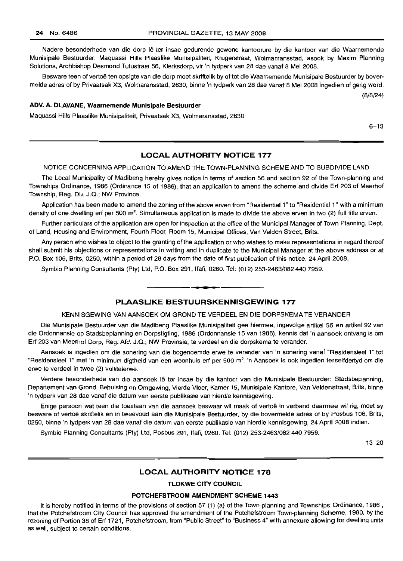Nadere besonderhede van die dorp Iê ter insae gedurende gewone kantoorure by die kantoor van die Waarnemende Munisipale Bestuurder: Maquassi Hills Plaaslike Munisipaliteit, Krugerstraat, Wolmanransstad, asook by Maxim Planning Solutions, Archbishop Desmond Tutustraat 56, Klerksdorp, vir 'n tydperk van 28 dae vanaf 8 Mei 2008.

Besware teen of vertoë ten opsigte van die dorp moet skriftelik by of tot die Waarnemende Munisipale Bestuurder by bovermelde adres of by Privaatsak X3, Wolmaransstad, 2630, binne 'n tydperk van 28 dae vanaf 8 Mei 2008 ingedien of gerig word.

#### **ADV. A. DLAVANE, Waarnemende Munisipale Bestuurder**

Maquassi Hills Plaaslike Munisipaliteit, Privaatsak X3, Wolmaransstad, 2630

6-13

(8/8/24)

#### **LOCAL AUTHORITY NOTICE 177**

#### NOTICE CONCERNING APPLICATION TO AMEND THE TOWN-PLANNING SCHEME AND TO SUBDIVIDE LAND

The Local Municipality of Madibeng hereby gives notice in terms of section 56 and section 92 of the Town-planning and Townships Ordinance, 1986 (Ordinance 15 of 1986), that an application to amend the scheme and divide Erf 203 of Meerhof Township, Reg. Div. J.Q.; NW Province.

Application has been made to amend the zoning of the above erven from "Residential 1" to "Residential 1" with a minimum density of one dwelling erf per 500 m<sup>2</sup>. Simultaneous application is made to divide the above erven in two (2) full title erven.

Further particulars of the application are open for inspection at the office of the Municipal Manager of Town Planning, Dept. of Land, Housing and Environment, Fourth Floor, Room 15, Municipal Offices, Van Velden Street, Brits.

Any person who wishes to object to the granting of the application or who wishes to make representations in regard thereof shall submit his objections or representations in writing and in duplicate to the Municipal Manager at the above address or at P.O. Box 106, Brits, 0250, within a period of 28 days from the date of first publication of this notice, 24 April 2008.

Symbio Planning Consultants (pty) Ltd, P.O. Box 291, Ifafi, 0260. Tel: (012) 253-2463/0824407959.

#### **PLAASLIKE BESTUURSKENNISGEWING 177**

**•**

#### KENNISGEWING VAN AANSOEK OM GROND TE VERDEEL EN DIE DORPSKEMA TE VERANDER

Die Munisipale Bestuurder van die Madibeng Plaaslike Munisipaliteit gee hiermee, ingevolge artikel 56 en artikel 92 van die Ordonnansie op Stadsbeplanning en Dorpstigting, 1986 (Ordonnansie 15 van 1986), kennis dat 'n aansoek ontvang is om Erf 203 van Meerhof Dorp, Reg. Afd. J.Q.; NW Provinsie, te verdeel en die dorpskema te verander.

Aansoek is ingedien om die sonering van die bogenoemde erwe te verander van 'n sonering vanaf "Residensieel 1" tot "Residensieel 1" met 'n minimum digtheid van een woonhuis erf per 500 m<sup>2</sup>. 'n Aansoek is ook ingedien terselfdertyd om die erwe te verdeel in twee (2) voltitelerwe.

Verdere besonderhede van die aansoek lê ter insae by die kantoor van die Munisipale Bestuurder: Stadsbeplanning, Departement van Grond, Behuising en Omgewing, Vierde Vloer, Kamer 15, Munisipale Kantore, Van Veldenstraat, Brits, binne 'n tydperk van 28 dae vanaf die datum van eerste publikasie van hierdie kennisgewing.

Enige persoon wat teen die toestaan van die aansoek beswaar wil maak of vertoe in verband daarmee wil rig, moet sy besware of vertoe skriftelik en in tweevoud aan die Munisipale Bestuurder, by die bovermelde adres of by Posbus 106, Brits, 0250, binne 'n tydperk van 28 dae vanaf die datum van eerste publikasie van hierdie kennisgewing, 24 April 2008 indien.

Symbio Planning Consultants (Pty) Ltd, Posbus 291, Ifafi, 0260. Tel: (012) 253-2463/082440 7959.

 $13 - 20$ 

#### **LOCAL AUTHORITY NOTICE 178**

### **TLOKWE CITY COUNCIL**

#### **POTCHEFSTROOM AMENDMENT SCHEME 1443**

It is hereby notified in terms of the provisions of section 57 (1) (a) of the Town-planning and Townships Ordinance, 1986 , that the Potchefstroom City Council has approved the amendment of the Potchefstroom Town-planning Scheme, 1980, by the rezoning of Portion 38 of Erf 1721, Potchefstroom, from "Public Street" to "Business 4" with annexure allowing for dwelling units as well, subject to certain conditions.